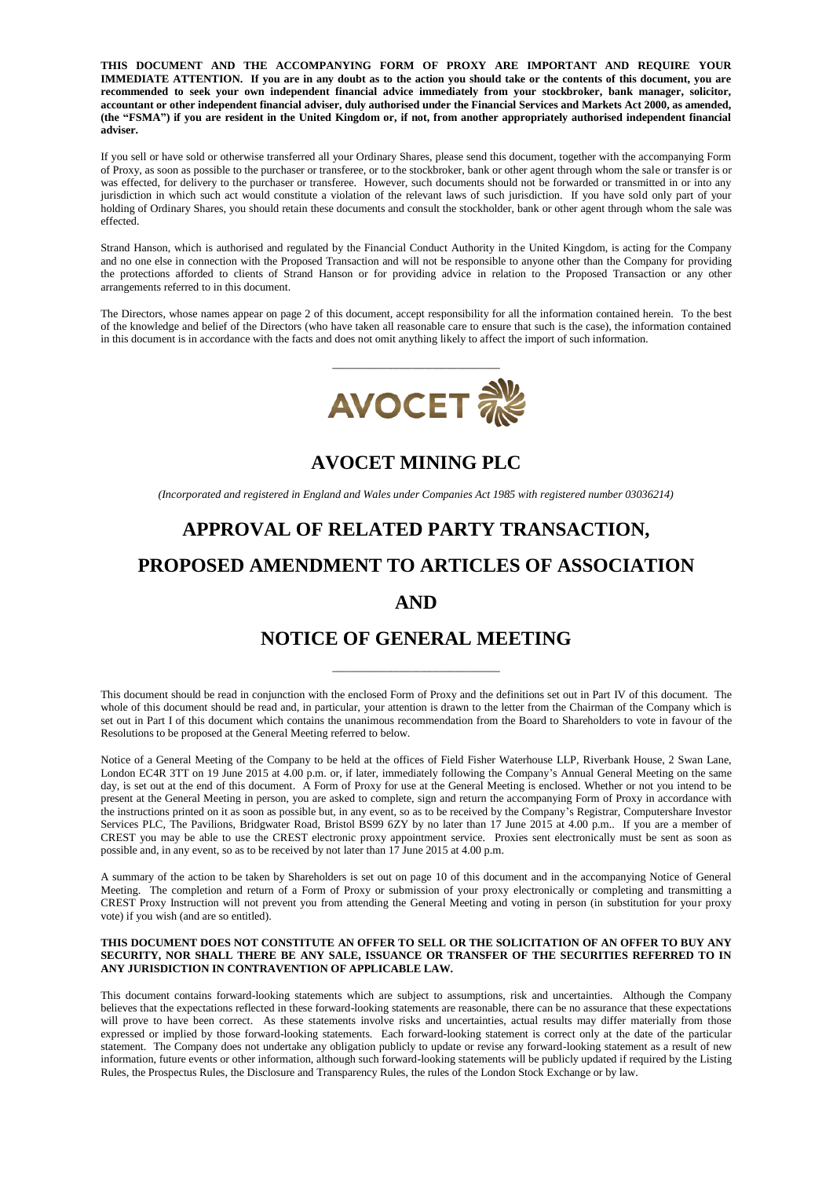**THIS DOCUMENT AND THE ACCOMPANYING FORM OF PROXY ARE IMPORTANT AND REQUIRE YOUR IMMEDIATE ATTENTION. If you are in any doubt as to the action you should take or the contents of this document, you are recommended to seek your own independent financial advice immediately from your stockbroker, bank manager, solicitor, accountant or other independent financial adviser, duly authorised under the Financial Services and Markets Act 2000, as amended, (the "FSMA") if you are resident in the United Kingdom or, if not, from another appropriately authorised independent financial adviser.**

If you sell or have sold or otherwise transferred all your Ordinary Shares, please send this document, together with the accompanying Form of Proxy, as soon as possible to the purchaser or transferee, or to the stockbroker, bank or other agent through whom the sale or transfer is or was effected, for delivery to the purchaser or transferee. However, such documents should not be forwarded or transmitted in or into any jurisdiction in which such act would constitute a violation of the relevant laws of such jurisdiction. If you have sold only part of your holding of Ordinary Shares, you should retain these documents and consult the stockholder, bank or other agent through whom the sale was effected.

Strand Hanson, which is authorised and regulated by the Financial Conduct Authority in the United Kingdom, is acting for the Company and no one else in connection with the Proposed Transaction and will not be responsible to anyone other than the Company for providing the protections afforded to clients of Strand Hanson or for providing advice in relation to the Proposed Transaction or any other arrangements referred to in this document.

The Directors, whose names appear on page 2 of this document, accept responsibility for all the information contained herein. To the best of the knowledge and belief of the Directors (who have taken all reasonable care to ensure that such is the case), the information contained in this document is in accordance with the facts and does not omit anything likely to affect the import of such information.



**AVOCET MINING PLC**

*(Incorporated and registered in England and Wales under Companies Act 1985 with registered number 03036214)*

# **APPROVAL OF RELATED PARTY TRANSACTION,**

# **PROPOSED AMENDMENT TO ARTICLES OF ASSOCIATION**

## **AND**

# **NOTICE OF GENERAL MEETING**

**\_\_\_\_\_\_\_\_\_\_\_\_\_\_\_\_\_\_\_\_\_\_\_\_\_\_\_\_\_\_\_\_\_\_\_\_\_\_\_\_**

This document should be read in conjunction with the enclosed Form of Proxy and the definitions set out in Part IV of this document. The whole of this document should be read and, in particular, your attention is drawn to the letter from the Chairman of the Company which is set out in Part I of this document which contains the unanimous recommendation from the Board to Shareholders to vote in favour of the Resolutions to be proposed at the General Meeting referred to below.

Notice of a General Meeting of the Company to be held at the offices of Field Fisher Waterhouse LLP, Riverbank House, 2 Swan Lane, London EC4R 3TT on 19 June 2015 at 4.00 p.m. or, if later, immediately following the Company's Annual General Meeting on the same day, is set out at the end of this document. A Form of Proxy for use at the General Meeting is enclosed. Whether or not you intend to be present at the General Meeting in person, you are asked to complete, sign and return the accompanying Form of Proxy in accordance with the instructions printed on it as soon as possible but, in any event, so as to be received by the Company's Registrar, Computershare Investor Services PLC, The Pavilions, Bridgwater Road, Bristol BS99 6ZY by no later than 17 June 2015 at 4.00 p.m.. If you are a member of CREST you may be able to use the CREST electronic proxy appointment service. Proxies sent electronically must be sent as soon as possible and, in any event, so as to be received by not later than 17 June 2015 at 4.00 p.m.

A summary of the action to be taken by Shareholders is set out on page 10 of this document and in the accompanying Notice of General Meeting. The completion and return of a Form of Proxy or submission of your proxy electronically or completing and transmitting a CREST Proxy Instruction will not prevent you from attending the General Meeting and voting in person (in substitution for your proxy vote) if you wish (and are so entitled).

#### **THIS DOCUMENT DOES NOT CONSTITUTE AN OFFER TO SELL OR THE SOLICITATION OF AN OFFER TO BUY ANY SECURITY, NOR SHALL THERE BE ANY SALE, ISSUANCE OR TRANSFER OF THE SECURITIES REFERRED TO IN ANY JURISDICTION IN CONTRAVENTION OF APPLICABLE LAW.**

This document contains forward-looking statements which are subject to assumptions, risk and uncertainties. Although the Company believes that the expectations reflected in these forward-looking statements are reasonable, there can be no assurance that these expectations will prove to have been correct. As these statements involve risks and uncertainties, actual results may differ materially from those expressed or implied by those forward-looking statements. Each forward-looking statement is correct only at the date of the particular statement. The Company does not undertake any obligation publicly to update or revise any forward-looking statement as a result of new information, future events or other information, although such forward-looking statements will be publicly updated if required by the Listing Rules, the Prospectus Rules, the Disclosure and Transparency Rules, the rules of the London Stock Exchange or by law.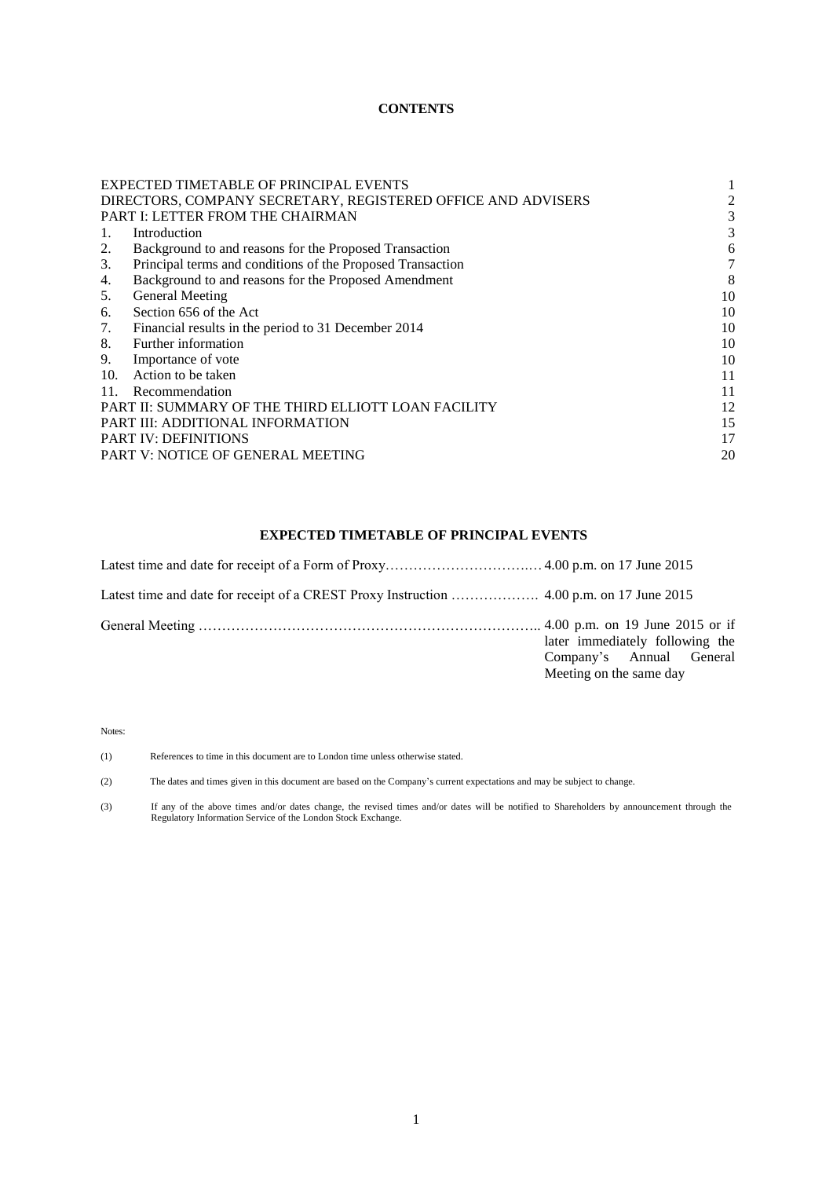## **CONTENTS**

|                                                     | EXPECTED TIMETABLE OF PRINCIPAL EVENTS                       |    |
|-----------------------------------------------------|--------------------------------------------------------------|----|
|                                                     | DIRECTORS, COMPANY SECRETARY, REGISTERED OFFICE AND ADVISERS | 2  |
| <b>PART I: LETTER FROM THE CHAIRMAN</b>             |                                                              | 3  |
| 1.                                                  | Introduction                                                 | 3  |
| 2.                                                  | Background to and reasons for the Proposed Transaction       | 6  |
| 3.                                                  | Principal terms and conditions of the Proposed Transaction   | 7  |
| 4.                                                  | Background to and reasons for the Proposed Amendment         | 8  |
| 5.                                                  | <b>General Meeting</b>                                       | 10 |
| 6.                                                  | Section 656 of the Act                                       | 10 |
| 7.                                                  | Financial results in the period to 31 December 2014          | 10 |
| 8.                                                  | Further information                                          | 10 |
| 9.                                                  | Importance of vote                                           | 10 |
| 10.                                                 | Action to be taken                                           | 11 |
| 11.                                                 | Recommendation                                               | 11 |
| PART II: SUMMARY OF THE THIRD ELLIOTT LOAN FACILITY |                                                              | 12 |
| PART III: ADDITIONAL INFORMATION                    |                                                              | 15 |
| <b>PART IV: DEFINITIONS</b>                         |                                                              | 17 |
| PART V: NOTICE OF GENERAL MEETING                   |                                                              | 20 |

## **EXPECTED TIMETABLE OF PRINCIPAL EVENTS**

| later immediately following the<br>Company's Annual General<br>Meeting on the same day |
|----------------------------------------------------------------------------------------|

Notes:

(1) References to time in this document are to London time unless otherwise stated.

(2) The dates and times given in this document are based on the Company's current expectations and may be subject to change.

(3) If any of the above times and/or dates change, the revised times and/or dates will be notified to Shareholders by announcement through the Regulatory Information Service of the London Stock Exchange.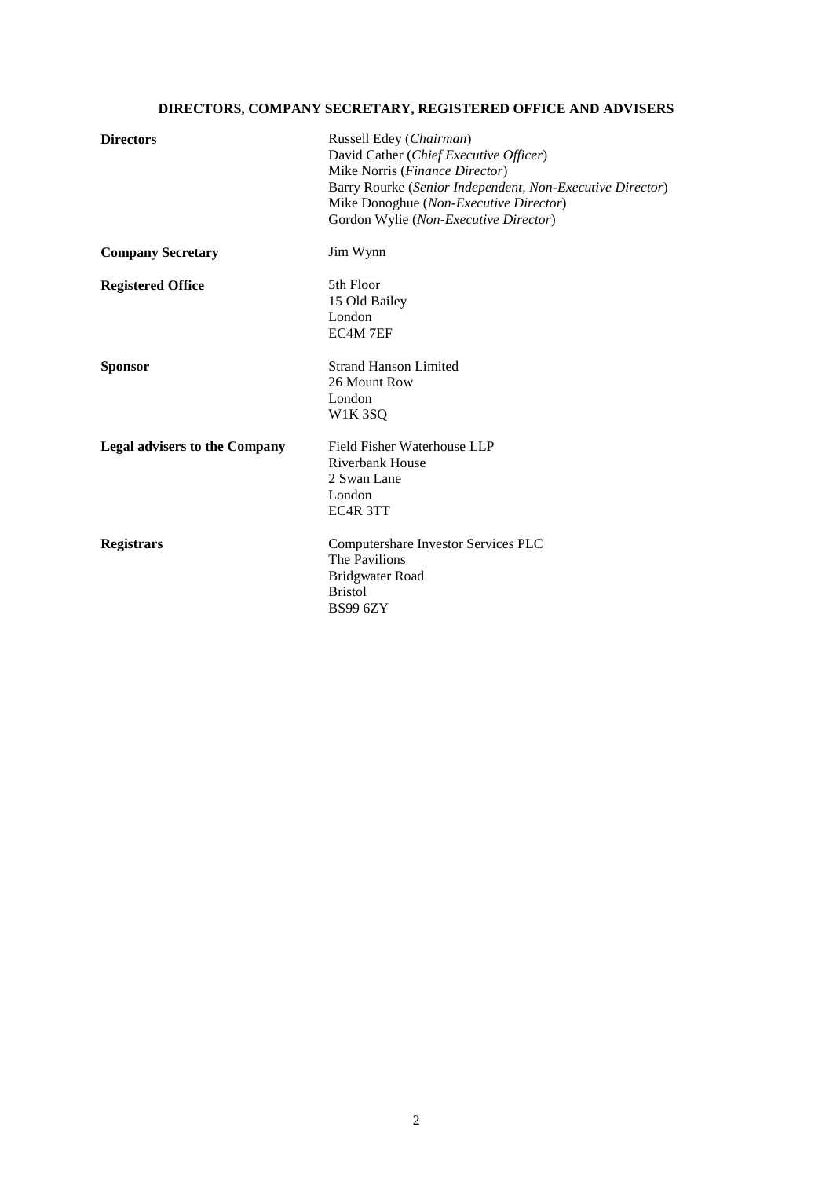# **DIRECTORS, COMPANY SECRETARY, REGISTERED OFFICE AND ADVISERS**

| <b>Directors</b>                     | Russell Edey (Chairman)<br>David Cather (Chief Executive Officer)<br>Mike Norris (Finance Director)<br>Barry Rourke (Senior Independent, Non-Executive Director)<br>Mike Donoghue (Non-Executive Director)<br>Gordon Wylie (Non-Executive Director) |
|--------------------------------------|-----------------------------------------------------------------------------------------------------------------------------------------------------------------------------------------------------------------------------------------------------|
| <b>Company Secretary</b>             | Jim Wynn                                                                                                                                                                                                                                            |
| <b>Registered Office</b>             | 5th Floor<br>15 Old Bailey<br>London<br>EC4M 7EF                                                                                                                                                                                                    |
| <b>Sponsor</b>                       | <b>Strand Hanson Limited</b><br>26 Mount Row<br>London<br><b>W1K3SQ</b>                                                                                                                                                                             |
| <b>Legal advisers to the Company</b> | Field Fisher Waterhouse LLP<br>Riverbank House<br>2 Swan Lane<br>London<br>EC4R 3TT                                                                                                                                                                 |
| <b>Registrars</b>                    | Computershare Investor Services PLC<br>The Pavilions<br><b>Bridgwater Road</b><br><b>Bristol</b><br><b>BS99 6ZY</b>                                                                                                                                 |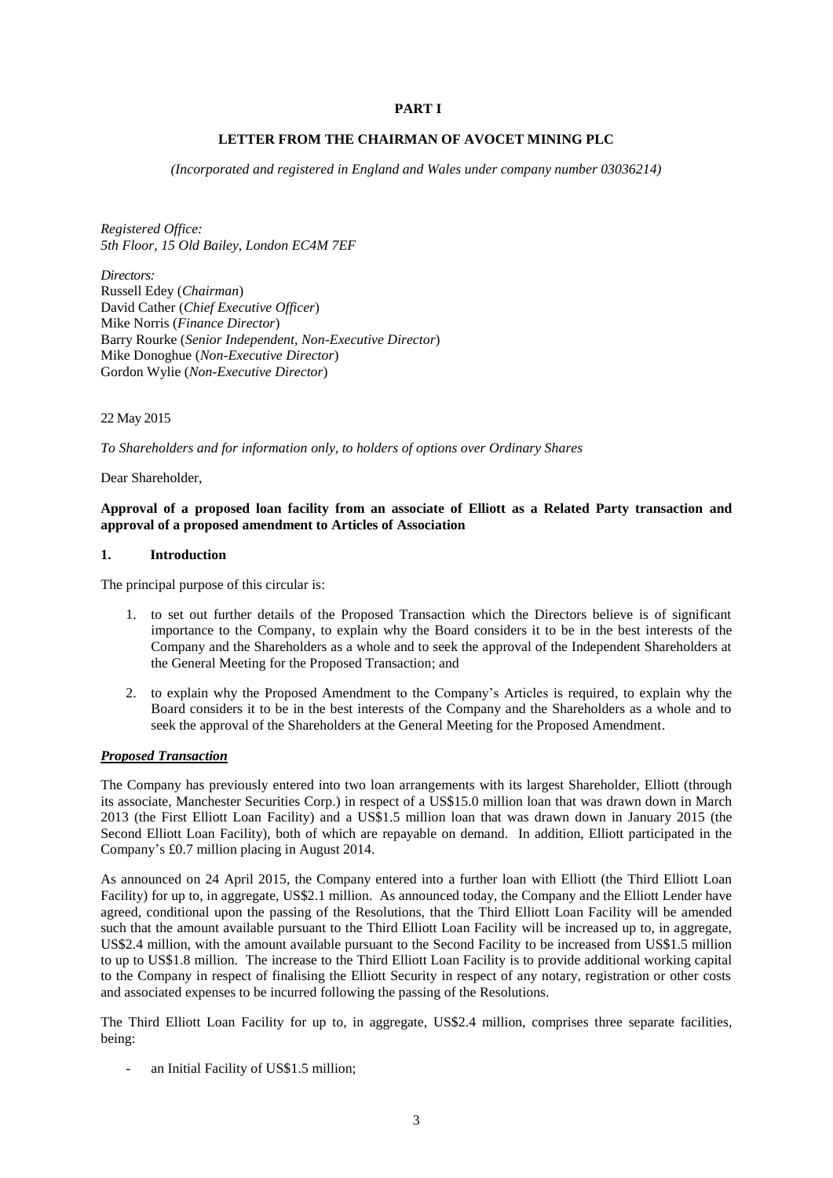### **PART I**

### **LETTER FROM THE CHAIRMAN OF AVOCET MINING PLC**

*(Incorporated and registered in England and Wales under company number 03036214)*

*Registered Office: 5th Floor, 15 Old Bailey, London EC4M 7EF*

*Directors:*  Russell Edey (*Chairman*) David Cather (*Chief Executive Officer*) Mike Norris (*Finance Director*) Barry Rourke (*Senior Independent, Non-Executive Director*) Mike Donoghue (*Non-Executive Director*) Gordon Wylie (*Non-Executive Director*)

22 May 2015

*To Shareholders and for information only, to holders of options over Ordinary Shares*

Dear Shareholder,

## **Approval of a proposed loan facility from an associate of Elliott as a Related Party transaction and approval of a proposed amendment to Articles of Association**

#### **1. Introduction**

The principal purpose of this circular is:

- 1. to set out further details of the Proposed Transaction which the Directors believe is of significant importance to the Company, to explain why the Board considers it to be in the best interests of the Company and the Shareholders as a whole and to seek the approval of the Independent Shareholders at the General Meeting for the Proposed Transaction; and
- 2. to explain why the Proposed Amendment to the Company's Articles is required, to explain why the Board considers it to be in the best interests of the Company and the Shareholders as a whole and to seek the approval of the Shareholders at the General Meeting for the Proposed Amendment.

#### *Proposed Transaction*

The Company has previously entered into two loan arrangements with its largest Shareholder, Elliott (through its associate, Manchester Securities Corp.) in respect of a US\$15.0 million loan that was drawn down in March 2013 (the First Elliott Loan Facility) and a US\$1.5 million loan that was drawn down in January 2015 (the Second Elliott Loan Facility), both of which are repayable on demand. In addition, Elliott participated in the Company's £0.7 million placing in August 2014.

As announced on 24 April 2015, the Company entered into a further loan with Elliott (the Third Elliott Loan Facility) for up to, in aggregate, US\$2.1 million. As announced today, the Company and the Elliott Lender have agreed, conditional upon the passing of the Resolutions, that the Third Elliott Loan Facility will be amended such that the amount available pursuant to the Third Elliott Loan Facility will be increased up to, in aggregate, US\$2.4 million, with the amount available pursuant to the Second Facility to be increased from US\$1.5 million to up to US\$1.8 million. The increase to the Third Elliott Loan Facility is to provide additional working capital to the Company in respect of finalising the Elliott Security in respect of any notary, registration or other costs and associated expenses to be incurred following the passing of the Resolutions.

The Third Elliott Loan Facility for up to, in aggregate, US\$2.4 million, comprises three separate facilities, being:

an Initial Facility of US\$1.5 million;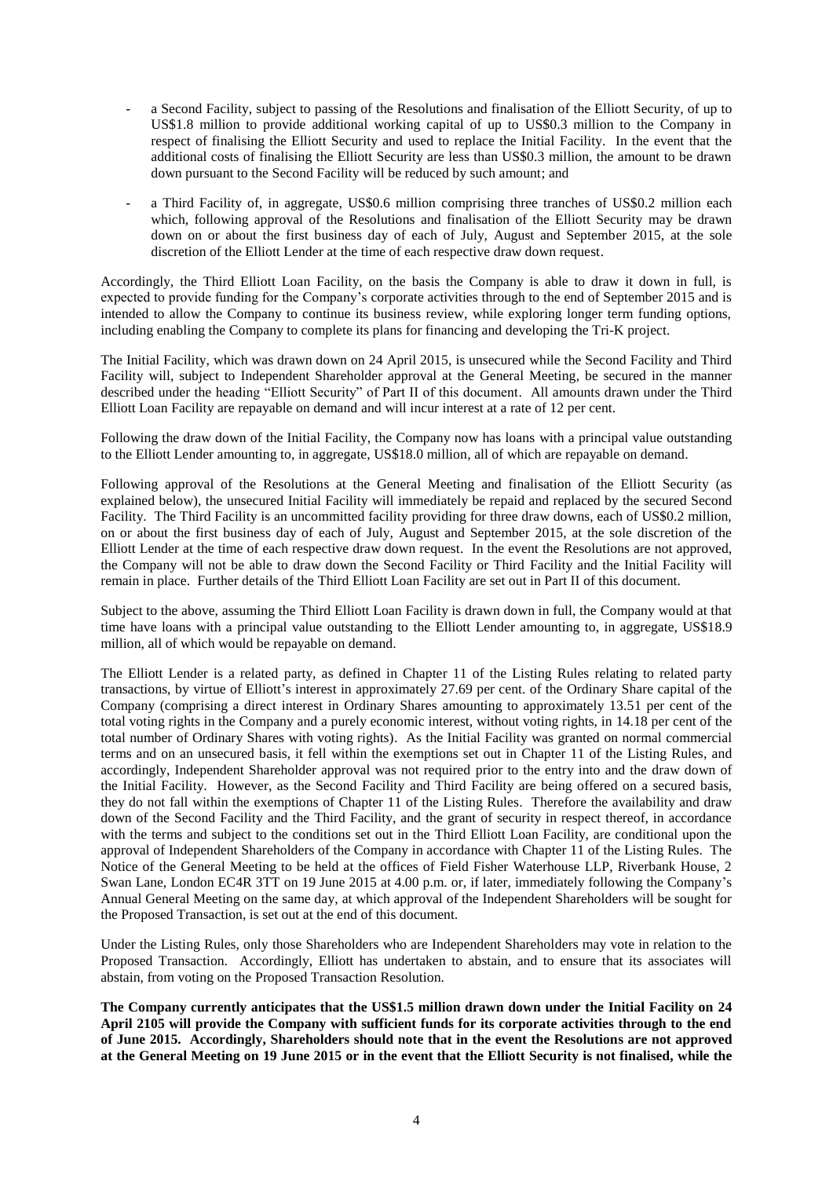- a Second Facility, subject to passing of the Resolutions and finalisation of the Elliott Security, of up to US\$1.8 million to provide additional working capital of up to US\$0.3 million to the Company in respect of finalising the Elliott Security and used to replace the Initial Facility. In the event that the additional costs of finalising the Elliott Security are less than US\$0.3 million, the amount to be drawn down pursuant to the Second Facility will be reduced by such amount; and
- a Third Facility of, in aggregate, US\$0.6 million comprising three tranches of US\$0.2 million each which, following approval of the Resolutions and finalisation of the Elliott Security may be drawn down on or about the first business day of each of July, August and September 2015, at the sole discretion of the Elliott Lender at the time of each respective draw down request.

Accordingly, the Third Elliott Loan Facility, on the basis the Company is able to draw it down in full, is expected to provide funding for the Company's corporate activities through to the end of September 2015 and is intended to allow the Company to continue its business review, while exploring longer term funding options, including enabling the Company to complete its plans for financing and developing the Tri-K project.

The Initial Facility, which was drawn down on 24 April 2015, is unsecured while the Second Facility and Third Facility will, subject to Independent Shareholder approval at the General Meeting, be secured in the manner described under the heading "Elliott Security" of Part II of this document. All amounts drawn under the Third Elliott Loan Facility are repayable on demand and will incur interest at a rate of 12 per cent.

Following the draw down of the Initial Facility, the Company now has loans with a principal value outstanding to the Elliott Lender amounting to, in aggregate, US\$18.0 million, all of which are repayable on demand.

Following approval of the Resolutions at the General Meeting and finalisation of the Elliott Security (as explained below), the unsecured Initial Facility will immediately be repaid and replaced by the secured Second Facility. The Third Facility is an uncommitted facility providing for three draw downs, each of US\$0.2 million, on or about the first business day of each of July, August and September 2015, at the sole discretion of the Elliott Lender at the time of each respective draw down request. In the event the Resolutions are not approved, the Company will not be able to draw down the Second Facility or Third Facility and the Initial Facility will remain in place. Further details of the Third Elliott Loan Facility are set out in Part II of this document.

Subject to the above, assuming the Third Elliott Loan Facility is drawn down in full, the Company would at that time have loans with a principal value outstanding to the Elliott Lender amounting to, in aggregate, US\$18.9 million, all of which would be repayable on demand.

The Elliott Lender is a related party, as defined in Chapter 11 of the Listing Rules relating to related party transactions, by virtue of Elliott's interest in approximately 27.69 per cent. of the Ordinary Share capital of the Company (comprising a direct interest in Ordinary Shares amounting to approximately 13.51 per cent of the total voting rights in the Company and a purely economic interest, without voting rights, in 14.18 per cent of the total number of Ordinary Shares with voting rights). As the Initial Facility was granted on normal commercial terms and on an unsecured basis, it fell within the exemptions set out in Chapter 11 of the Listing Rules, and accordingly, Independent Shareholder approval was not required prior to the entry into and the draw down of the Initial Facility. However, as the Second Facility and Third Facility are being offered on a secured basis, they do not fall within the exemptions of Chapter 11 of the Listing Rules. Therefore the availability and draw down of the Second Facility and the Third Facility, and the grant of security in respect thereof, in accordance with the terms and subject to the conditions set out in the Third Elliott Loan Facility, are conditional upon the approval of Independent Shareholders of the Company in accordance with Chapter 11 of the Listing Rules. The Notice of the General Meeting to be held at the offices of Field Fisher Waterhouse LLP, Riverbank House, 2 Swan Lane, London EC4R 3TT on 19 June 2015 at 4.00 p.m. or, if later, immediately following the Company's Annual General Meeting on the same day, at which approval of the Independent Shareholders will be sought for the Proposed Transaction, is set out at the end of this document.

Under the Listing Rules, only those Shareholders who are Independent Shareholders may vote in relation to the Proposed Transaction. Accordingly, Elliott has undertaken to abstain, and to ensure that its associates will abstain, from voting on the Proposed Transaction Resolution.

**The Company currently anticipates that the US\$1.5 million drawn down under the Initial Facility on 24 April 2105 will provide the Company with sufficient funds for its corporate activities through to the end of June 2015. Accordingly, Shareholders should note that in the event the Resolutions are not approved at the General Meeting on 19 June 2015 or in the event that the Elliott Security is not finalised, while the**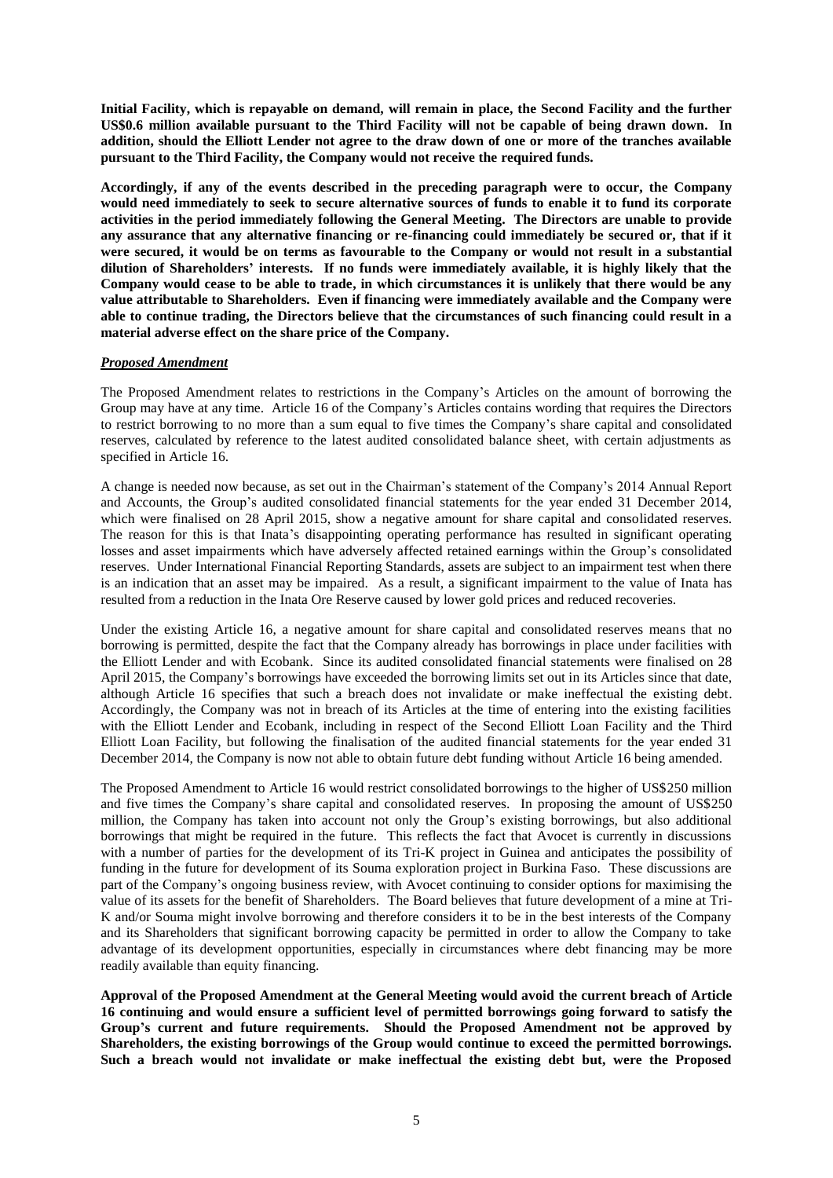**Initial Facility, which is repayable on demand, will remain in place, the Second Facility and the further US\$0.6 million available pursuant to the Third Facility will not be capable of being drawn down. In addition, should the Elliott Lender not agree to the draw down of one or more of the tranches available pursuant to the Third Facility, the Company would not receive the required funds.**

**Accordingly, if any of the events described in the preceding paragraph were to occur, the Company would need immediately to seek to secure alternative sources of funds to enable it to fund its corporate activities in the period immediately following the General Meeting. The Directors are unable to provide any assurance that any alternative financing or re-financing could immediately be secured or, that if it were secured, it would be on terms as favourable to the Company or would not result in a substantial dilution of Shareholders' interests. If no funds were immediately available, it is highly likely that the Company would cease to be able to trade, in which circumstances it is unlikely that there would be any value attributable to Shareholders. Even if financing were immediately available and the Company were able to continue trading, the Directors believe that the circumstances of such financing could result in a material adverse effect on the share price of the Company.**

#### *Proposed Amendment*

The Proposed Amendment relates to restrictions in the Company's Articles on the amount of borrowing the Group may have at any time. Article 16 of the Company's Articles contains wording that requires the Directors to restrict borrowing to no more than a sum equal to five times the Company's share capital and consolidated reserves, calculated by reference to the latest audited consolidated balance sheet, with certain adjustments as specified in Article 16.

A change is needed now because, as set out in the Chairman's statement of the Company's 2014 Annual Report and Accounts, the Group's audited consolidated financial statements for the year ended 31 December 2014, which were finalised on 28 April 2015, show a negative amount for share capital and consolidated reserves. The reason for this is that Inata's disappointing operating performance has resulted in significant operating losses and asset impairments which have adversely affected retained earnings within the Group's consolidated reserves. Under International Financial Reporting Standards, assets are subject to an impairment test when there is an indication that an asset may be impaired. As a result, a significant impairment to the value of Inata has resulted from a reduction in the Inata Ore Reserve caused by lower gold prices and reduced recoveries.

Under the existing Article 16, a negative amount for share capital and consolidated reserves means that no borrowing is permitted, despite the fact that the Company already has borrowings in place under facilities with the Elliott Lender and with Ecobank. Since its audited consolidated financial statements were finalised on 28 April 2015, the Company's borrowings have exceeded the borrowing limits set out in its Articles since that date, although Article 16 specifies that such a breach does not invalidate or make ineffectual the existing debt. Accordingly, the Company was not in breach of its Articles at the time of entering into the existing facilities with the Elliott Lender and Ecobank, including in respect of the Second Elliott Loan Facility and the Third Elliott Loan Facility, but following the finalisation of the audited financial statements for the year ended 31 December 2014, the Company is now not able to obtain future debt funding without Article 16 being amended.

The Proposed Amendment to Article 16 would restrict consolidated borrowings to the higher of US\$250 million and five times the Company's share capital and consolidated reserves. In proposing the amount of US\$250 million, the Company has taken into account not only the Group's existing borrowings, but also additional borrowings that might be required in the future. This reflects the fact that Avocet is currently in discussions with a number of parties for the development of its Tri-K project in Guinea and anticipates the possibility of funding in the future for development of its Souma exploration project in Burkina Faso. These discussions are part of the Company's ongoing business review, with Avocet continuing to consider options for maximising the value of its assets for the benefit of Shareholders. The Board believes that future development of a mine at Tri-K and/or Souma might involve borrowing and therefore considers it to be in the best interests of the Company and its Shareholders that significant borrowing capacity be permitted in order to allow the Company to take advantage of its development opportunities, especially in circumstances where debt financing may be more readily available than equity financing.

**Approval of the Proposed Amendment at the General Meeting would avoid the current breach of Article 16 continuing and would ensure a sufficient level of permitted borrowings going forward to satisfy the Group's current and future requirements. Should the Proposed Amendment not be approved by Shareholders, the existing borrowings of the Group would continue to exceed the permitted borrowings. Such a breach would not invalidate or make ineffectual the existing debt but, were the Proposed**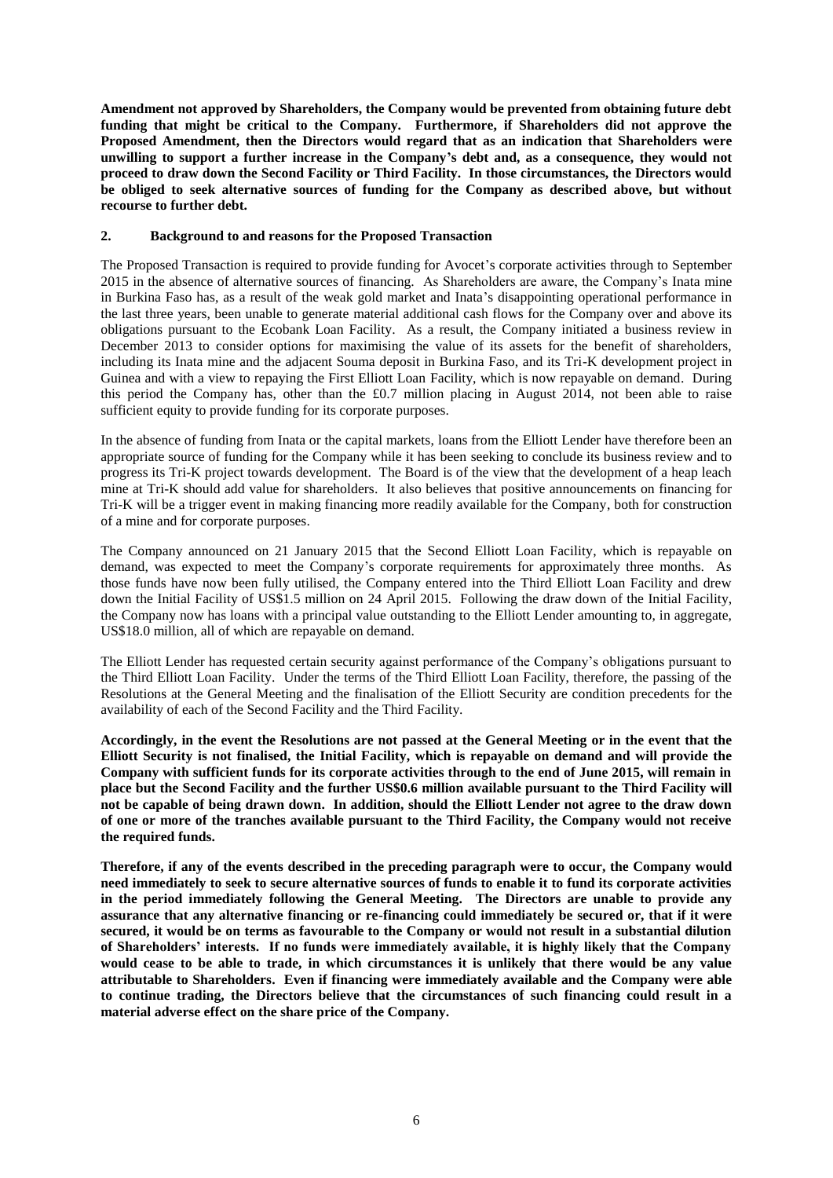**Amendment not approved by Shareholders, the Company would be prevented from obtaining future debt funding that might be critical to the Company. Furthermore, if Shareholders did not approve the Proposed Amendment, then the Directors would regard that as an indication that Shareholders were unwilling to support a further increase in the Company's debt and, as a consequence, they would not proceed to draw down the Second Facility or Third Facility. In those circumstances, the Directors would be obliged to seek alternative sources of funding for the Company as described above, but without recourse to further debt.**

#### **2. Background to and reasons for the Proposed Transaction**

The Proposed Transaction is required to provide funding for Avocet's corporate activities through to September 2015 in the absence of alternative sources of financing. As Shareholders are aware, the Company's Inata mine in Burkina Faso has, as a result of the weak gold market and Inata's disappointing operational performance in the last three years, been unable to generate material additional cash flows for the Company over and above its obligations pursuant to the Ecobank Loan Facility. As a result, the Company initiated a business review in December 2013 to consider options for maximising the value of its assets for the benefit of shareholders, including its Inata mine and the adjacent Souma deposit in Burkina Faso, and its Tri-K development project in Guinea and with a view to repaying the First Elliott Loan Facility, which is now repayable on demand. During this period the Company has, other than the £0.7 million placing in August 2014, not been able to raise sufficient equity to provide funding for its corporate purposes.

In the absence of funding from Inata or the capital markets, loans from the Elliott Lender have therefore been an appropriate source of funding for the Company while it has been seeking to conclude its business review and to progress its Tri-K project towards development. The Board is of the view that the development of a heap leach mine at Tri-K should add value for shareholders. It also believes that positive announcements on financing for Tri-K will be a trigger event in making financing more readily available for the Company, both for construction of a mine and for corporate purposes.

The Company announced on 21 January 2015 that the Second Elliott Loan Facility, which is repayable on demand, was expected to meet the Company's corporate requirements for approximately three months. As those funds have now been fully utilised, the Company entered into the Third Elliott Loan Facility and drew down the Initial Facility of US\$1.5 million on 24 April 2015. Following the draw down of the Initial Facility, the Company now has loans with a principal value outstanding to the Elliott Lender amounting to, in aggregate, US\$18.0 million, all of which are repayable on demand.

The Elliott Lender has requested certain security against performance of the Company's obligations pursuant to the Third Elliott Loan Facility. Under the terms of the Third Elliott Loan Facility, therefore, the passing of the Resolutions at the General Meeting and the finalisation of the Elliott Security are condition precedents for the availability of each of the Second Facility and the Third Facility.

**Accordingly, in the event the Resolutions are not passed at the General Meeting or in the event that the Elliott Security is not finalised, the Initial Facility, which is repayable on demand and will provide the Company with sufficient funds for its corporate activities through to the end of June 2015, will remain in place but the Second Facility and the further US\$0.6 million available pursuant to the Third Facility will not be capable of being drawn down. In addition, should the Elliott Lender not agree to the draw down of one or more of the tranches available pursuant to the Third Facility, the Company would not receive the required funds.**

**Therefore, if any of the events described in the preceding paragraph were to occur, the Company would need immediately to seek to secure alternative sources of funds to enable it to fund its corporate activities in the period immediately following the General Meeting. The Directors are unable to provide any assurance that any alternative financing or re-financing could immediately be secured or, that if it were secured, it would be on terms as favourable to the Company or would not result in a substantial dilution of Shareholders' interests. If no funds were immediately available, it is highly likely that the Company would cease to be able to trade, in which circumstances it is unlikely that there would be any value attributable to Shareholders. Even if financing were immediately available and the Company were able to continue trading, the Directors believe that the circumstances of such financing could result in a material adverse effect on the share price of the Company.**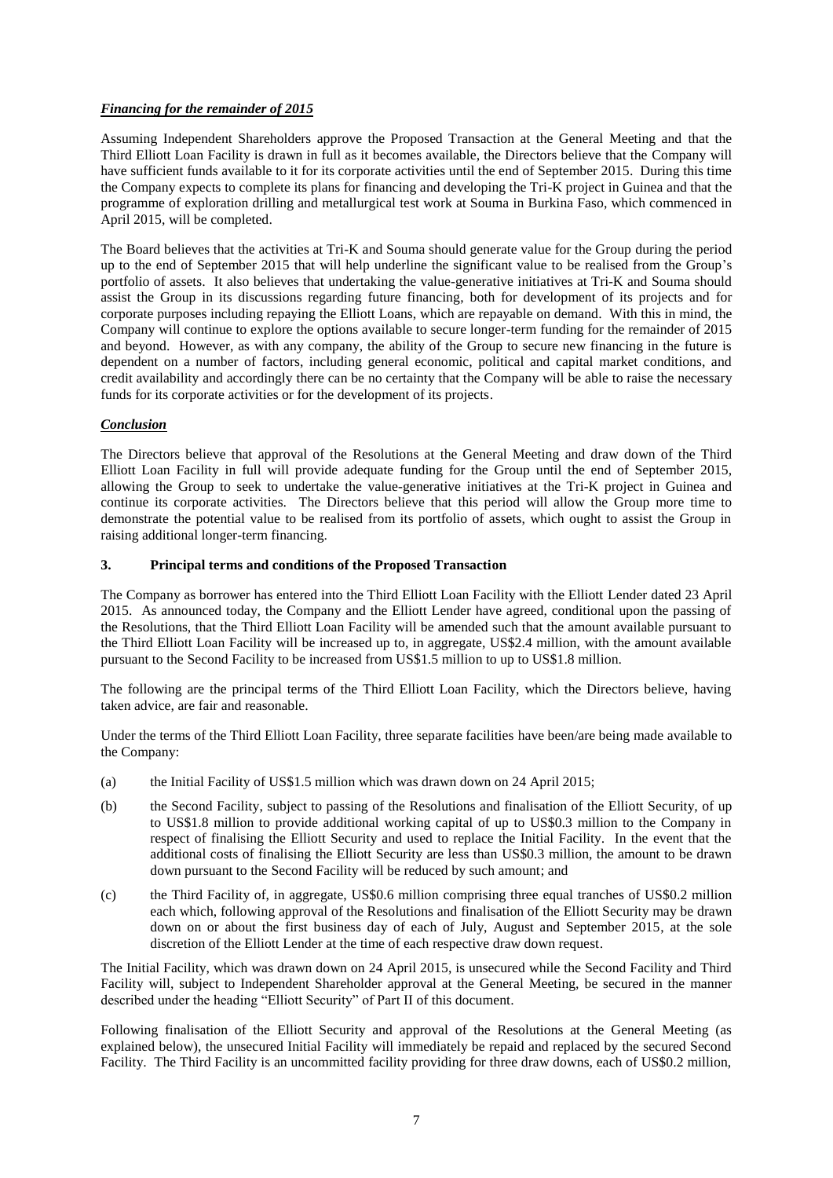## *Financing for the remainder of 2015*

Assuming Independent Shareholders approve the Proposed Transaction at the General Meeting and that the Third Elliott Loan Facility is drawn in full as it becomes available, the Directors believe that the Company will have sufficient funds available to it for its corporate activities until the end of September 2015. During this time the Company expects to complete its plans for financing and developing the Tri-K project in Guinea and that the programme of exploration drilling and metallurgical test work at Souma in Burkina Faso, which commenced in April 2015, will be completed.

The Board believes that the activities at Tri-K and Souma should generate value for the Group during the period up to the end of September 2015 that will help underline the significant value to be realised from the Group's portfolio of assets. It also believes that undertaking the value-generative initiatives at Tri-K and Souma should assist the Group in its discussions regarding future financing, both for development of its projects and for corporate purposes including repaying the Elliott Loans, which are repayable on demand. With this in mind, the Company will continue to explore the options available to secure longer-term funding for the remainder of 2015 and beyond. However, as with any company, the ability of the Group to secure new financing in the future is dependent on a number of factors, including general economic, political and capital market conditions, and credit availability and accordingly there can be no certainty that the Company will be able to raise the necessary funds for its corporate activities or for the development of its projects.

## *Conclusion*

The Directors believe that approval of the Resolutions at the General Meeting and draw down of the Third Elliott Loan Facility in full will provide adequate funding for the Group until the end of September 2015, allowing the Group to seek to undertake the value-generative initiatives at the Tri-K project in Guinea and continue its corporate activities. The Directors believe that this period will allow the Group more time to demonstrate the potential value to be realised from its portfolio of assets, which ought to assist the Group in raising additional longer-term financing.

#### **3. Principal terms and conditions of the Proposed Transaction**

The Company as borrower has entered into the Third Elliott Loan Facility with the Elliott Lender dated 23 April 2015. As announced today, the Company and the Elliott Lender have agreed, conditional upon the passing of the Resolutions, that the Third Elliott Loan Facility will be amended such that the amount available pursuant to the Third Elliott Loan Facility will be increased up to, in aggregate, US\$2.4 million, with the amount available pursuant to the Second Facility to be increased from US\$1.5 million to up to US\$1.8 million.

The following are the principal terms of the Third Elliott Loan Facility, which the Directors believe, having taken advice, are fair and reasonable.

Under the terms of the Third Elliott Loan Facility, three separate facilities have been/are being made available to the Company:

- (a) the Initial Facility of US\$1.5 million which was drawn down on 24 April 2015;
- (b) the Second Facility, subject to passing of the Resolutions and finalisation of the Elliott Security, of up to US\$1.8 million to provide additional working capital of up to US\$0.3 million to the Company in respect of finalising the Elliott Security and used to replace the Initial Facility. In the event that the additional costs of finalising the Elliott Security are less than US\$0.3 million, the amount to be drawn down pursuant to the Second Facility will be reduced by such amount; and
- (c) the Third Facility of, in aggregate, US\$0.6 million comprising three equal tranches of US\$0.2 million each which, following approval of the Resolutions and finalisation of the Elliott Security may be drawn down on or about the first business day of each of July, August and September 2015, at the sole discretion of the Elliott Lender at the time of each respective draw down request.

The Initial Facility, which was drawn down on 24 April 2015, is unsecured while the Second Facility and Third Facility will, subject to Independent Shareholder approval at the General Meeting, be secured in the manner described under the heading "Elliott Security" of Part II of this document.

Following finalisation of the Elliott Security and approval of the Resolutions at the General Meeting (as explained below), the unsecured Initial Facility will immediately be repaid and replaced by the secured Second Facility. The Third Facility is an uncommitted facility providing for three draw downs, each of US\$0.2 million,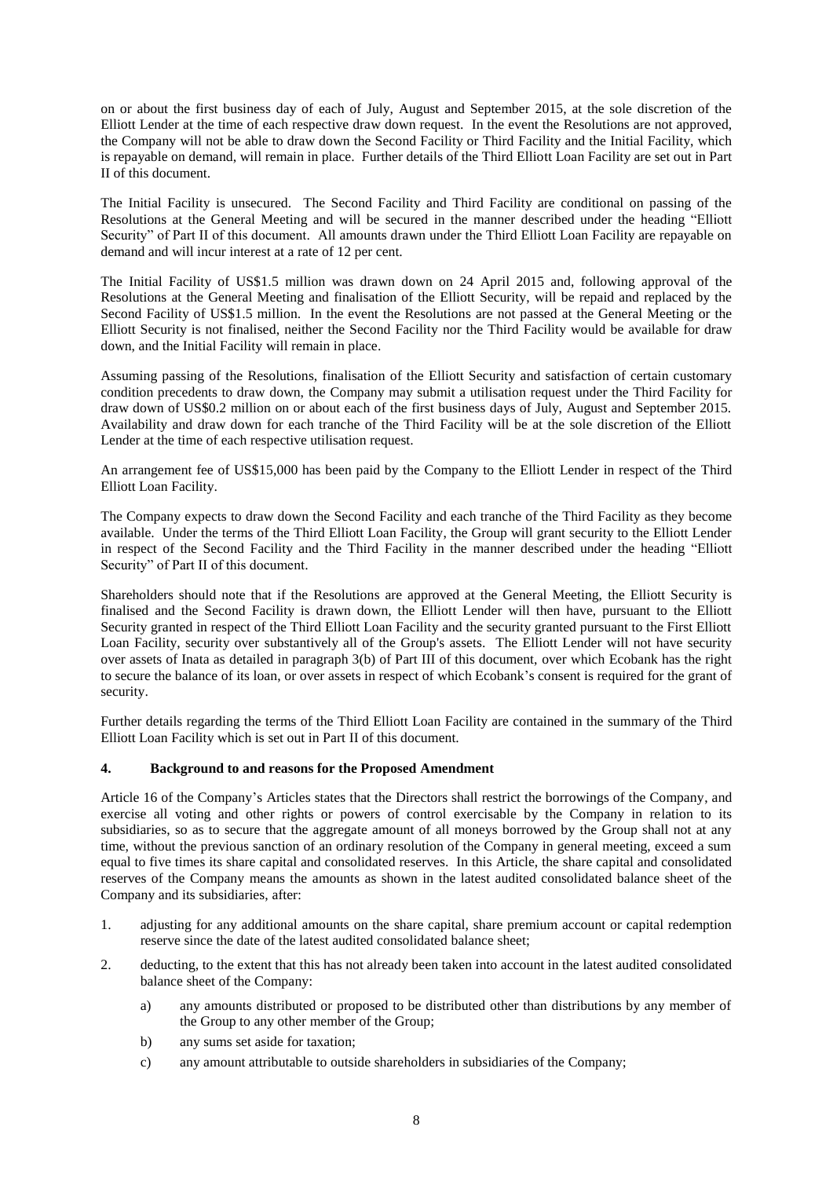on or about the first business day of each of July, August and September 2015, at the sole discretion of the Elliott Lender at the time of each respective draw down request. In the event the Resolutions are not approved, the Company will not be able to draw down the Second Facility or Third Facility and the Initial Facility, which is repayable on demand, will remain in place. Further details of the Third Elliott Loan Facility are set out in Part II of this document.

The Initial Facility is unsecured. The Second Facility and Third Facility are conditional on passing of the Resolutions at the General Meeting and will be secured in the manner described under the heading "Elliott Security" of Part II of this document. All amounts drawn under the Third Elliott Loan Facility are repayable on demand and will incur interest at a rate of 12 per cent.

The Initial Facility of US\$1.5 million was drawn down on 24 April 2015 and, following approval of the Resolutions at the General Meeting and finalisation of the Elliott Security, will be repaid and replaced by the Second Facility of US\$1.5 million. In the event the Resolutions are not passed at the General Meeting or the Elliott Security is not finalised, neither the Second Facility nor the Third Facility would be available for draw down, and the Initial Facility will remain in place.

Assuming passing of the Resolutions, finalisation of the Elliott Security and satisfaction of certain customary condition precedents to draw down, the Company may submit a utilisation request under the Third Facility for draw down of US\$0.2 million on or about each of the first business days of July, August and September 2015. Availability and draw down for each tranche of the Third Facility will be at the sole discretion of the Elliott Lender at the time of each respective utilisation request.

An arrangement fee of US\$15,000 has been paid by the Company to the Elliott Lender in respect of the Third Elliott Loan Facility.

The Company expects to draw down the Second Facility and each tranche of the Third Facility as they become available. Under the terms of the Third Elliott Loan Facility, the Group will grant security to the Elliott Lender in respect of the Second Facility and the Third Facility in the manner described under the heading "Elliott Security" of Part II of this document.

Shareholders should note that if the Resolutions are approved at the General Meeting, the Elliott Security is finalised and the Second Facility is drawn down, the Elliott Lender will then have, pursuant to the Elliott Security granted in respect of the Third Elliott Loan Facility and the security granted pursuant to the First Elliott Loan Facility, security over substantively all of the Group's assets. The Elliott Lender will not have security over assets of Inata as detailed in paragraph 3(b) of Part III of this document, over which Ecobank has the right to secure the balance of its loan, or over assets in respect of which Ecobank's consent is required for the grant of security.

Further details regarding the terms of the Third Elliott Loan Facility are contained in the summary of the Third Elliott Loan Facility which is set out in Part II of this document.

#### **4. Background to and reasons for the Proposed Amendment**

Article 16 of the Company's Articles states that the Directors shall restrict the borrowings of the Company, and exercise all voting and other rights or powers of control exercisable by the Company in relation to its subsidiaries, so as to secure that the aggregate amount of all moneys borrowed by the Group shall not at any time, without the previous sanction of an ordinary resolution of the Company in general meeting, exceed a sum equal to five times its share capital and consolidated reserves. In this Article, the share capital and consolidated reserves of the Company means the amounts as shown in the latest audited consolidated balance sheet of the Company and its subsidiaries, after:

- 1. adjusting for any additional amounts on the share capital, share premium account or capital redemption reserve since the date of the latest audited consolidated balance sheet;
- 2. deducting, to the extent that this has not already been taken into account in the latest audited consolidated balance sheet of the Company:
	- a) any amounts distributed or proposed to be distributed other than distributions by any member of the Group to any other member of the Group;
	- b) any sums set aside for taxation;
	- c) any amount attributable to outside shareholders in subsidiaries of the Company;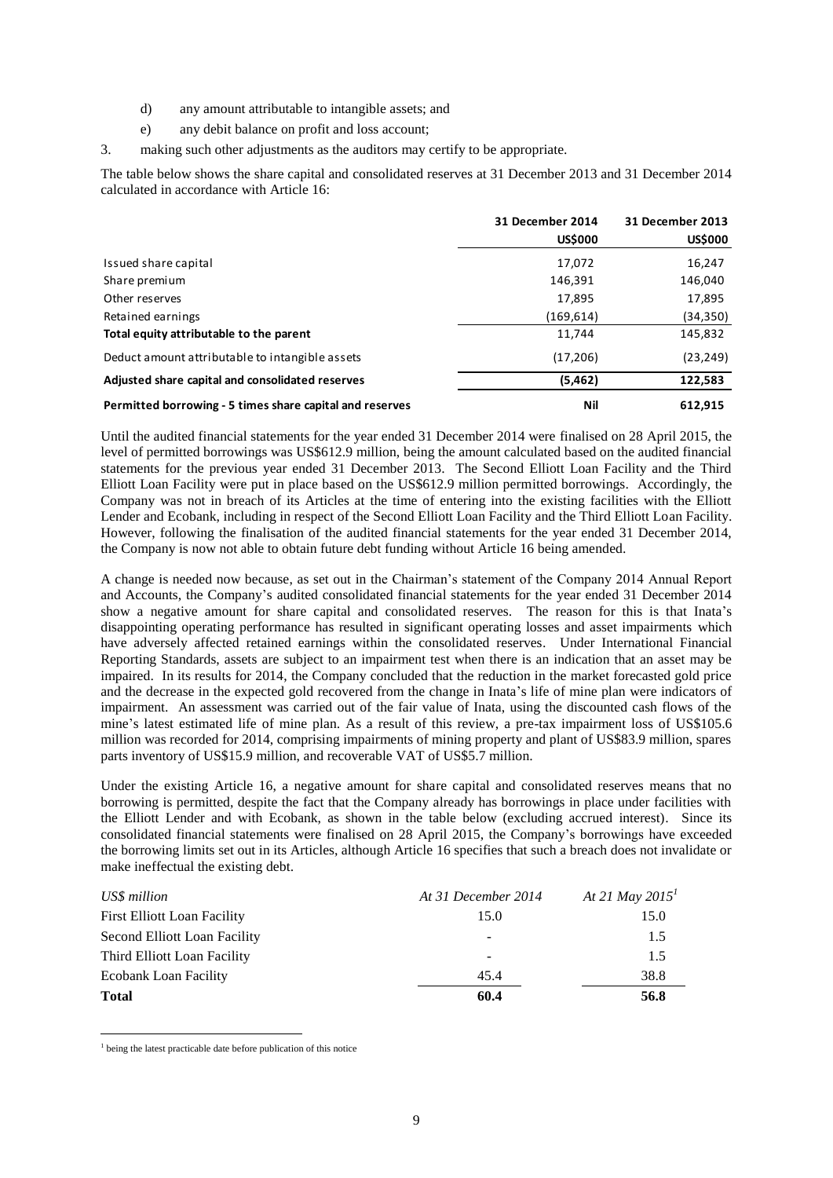- d) any amount attributable to intangible assets; and
- e) any debit balance on profit and loss account;
- 3. making such other adjustments as the auditors may certify to be appropriate.

The table below shows the share capital and consolidated reserves at 31 December 2013 and 31 December 2014 calculated in accordance with Article 16:

|                                                          | 31 December 2014 | 31 December 2013 |
|----------------------------------------------------------|------------------|------------------|
|                                                          | <b>US\$000</b>   | <b>US\$000</b>   |
| Issued share capital                                     | 17,072           | 16,247           |
| Share premium                                            | 146,391          | 146,040          |
| Other reserves                                           | 17,895           | 17,895           |
| Retained earnings                                        | (169, 614)       | (34,350)         |
| Total equity attributable to the parent                  | 11,744           | 145,832          |
| Deduct amount attributable to intangible assets          | (17,206)         | (23, 249)        |
| Adjusted share capital and consolidated reserves         | (5,462)          | 122,583          |
| Permitted borrowing - 5 times share capital and reserves | Nil              | 612.915          |

Until the audited financial statements for the year ended 31 December 2014 were finalised on 28 April 2015, the level of permitted borrowings was US\$612.9 million, being the amount calculated based on the audited financial statements for the previous year ended 31 December 2013. The Second Elliott Loan Facility and the Third Elliott Loan Facility were put in place based on the US\$612.9 million permitted borrowings. Accordingly, the Company was not in breach of its Articles at the time of entering into the existing facilities with the Elliott Lender and Ecobank, including in respect of the Second Elliott Loan Facility and the Third Elliott Loan Facility. However, following the finalisation of the audited financial statements for the year ended 31 December 2014, the Company is now not able to obtain future debt funding without Article 16 being amended.

A change is needed now because, as set out in the Chairman's statement of the Company 2014 Annual Report and Accounts, the Company's audited consolidated financial statements for the year ended 31 December 2014 show a negative amount for share capital and consolidated reserves. The reason for this is that Inata's disappointing operating performance has resulted in significant operating losses and asset impairments which have adversely affected retained earnings within the consolidated reserves. Under International Financial Reporting Standards, assets are subject to an impairment test when there is an indication that an asset may be impaired. In its results for 2014, the Company concluded that the reduction in the market forecasted gold price and the decrease in the expected gold recovered from the change in Inata's life of mine plan were indicators of impairment. An assessment was carried out of the fair value of Inata, using the discounted cash flows of the mine's latest estimated life of mine plan. As a result of this review, a pre-tax impairment loss of US\$105.6 million was recorded for 2014, comprising impairments of mining property and plant of US\$83.9 million, spares parts inventory of US\$15.9 million, and recoverable VAT of US\$5.7 million.

Under the existing Article 16, a negative amount for share capital and consolidated reserves means that no borrowing is permitted, despite the fact that the Company already has borrowings in place under facilities with the Elliott Lender and with Ecobank, as shown in the table below (excluding accrued interest). Since its consolidated financial statements were finalised on 28 April 2015, the Company's borrowings have exceeded the borrowing limits set out in its Articles, although Article 16 specifies that such a breach does not invalidate or make ineffectual the existing debt.

| US\$ million                 | At 31 December 2014 | At 21 May 2015 <sup>1</sup> |
|------------------------------|---------------------|-----------------------------|
| First Elliott Loan Facility  | 15.0                | 15.0                        |
| Second Elliott Loan Facility |                     | 1.5                         |
| Third Elliott Loan Facility  |                     | 1.5                         |
| <b>Ecobank Loan Facility</b> | 45.4                | 38.8                        |
| <b>Total</b>                 | 60.4                | 56.8                        |

<sup>&</sup>lt;sup>1</sup> being the latest practicable date before publication of this notice

-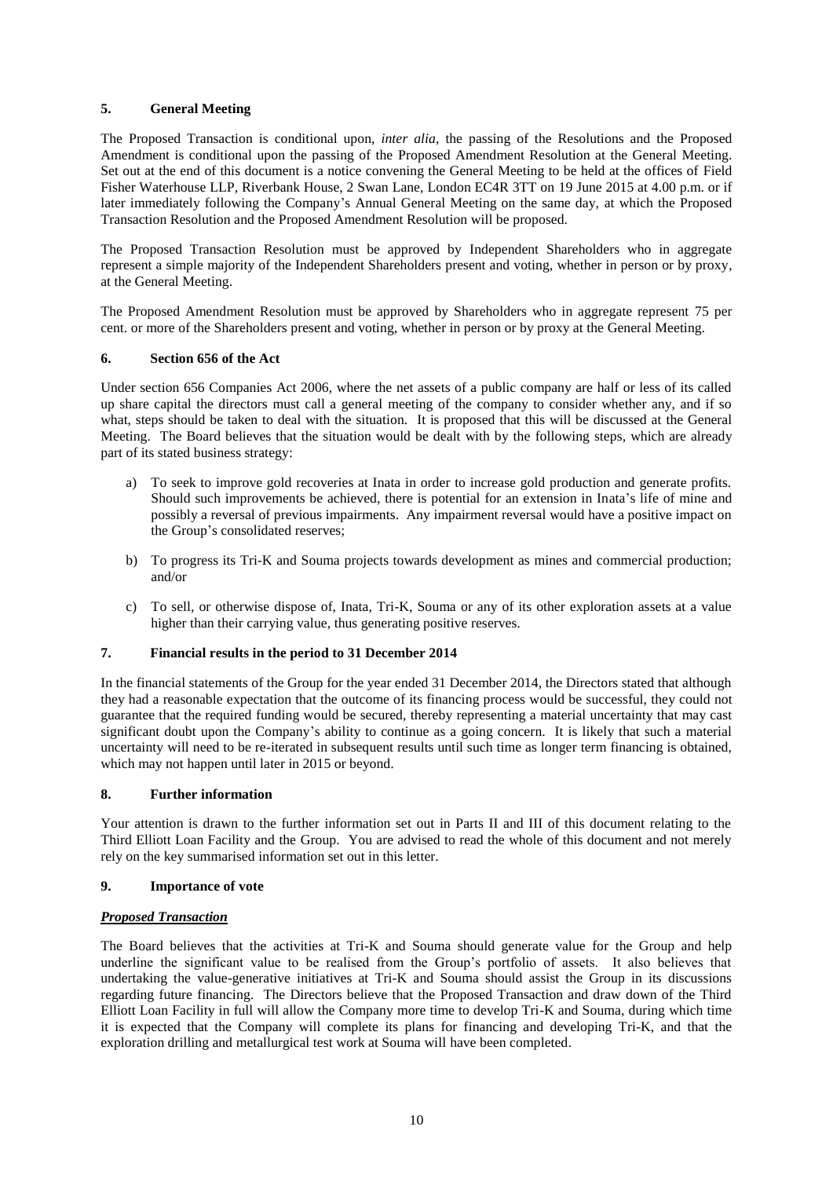## **5. General Meeting**

The Proposed Transaction is conditional upon, *inter alia*, the passing of the Resolutions and the Proposed Amendment is conditional upon the passing of the Proposed Amendment Resolution at the General Meeting. Set out at the end of this document is a notice convening the General Meeting to be held at the offices of Field Fisher Waterhouse LLP, Riverbank House, 2 Swan Lane, London EC4R 3TT on 19 June 2015 at 4.00 p.m. or if later immediately following the Company's Annual General Meeting on the same day, at which the Proposed Transaction Resolution and the Proposed Amendment Resolution will be proposed.

The Proposed Transaction Resolution must be approved by Independent Shareholders who in aggregate represent a simple majority of the Independent Shareholders present and voting, whether in person or by proxy, at the General Meeting.

The Proposed Amendment Resolution must be approved by Shareholders who in aggregate represent 75 per cent. or more of the Shareholders present and voting, whether in person or by proxy at the General Meeting.

#### **6. Section 656 of the Act**

Under section 656 Companies Act 2006, where the net assets of a public company are half or less of its called up share capital the directors must call a general meeting of the company to consider whether any, and if so what, steps should be taken to deal with the situation. It is proposed that this will be discussed at the General Meeting. The Board believes that the situation would be dealt with by the following steps, which are already part of its stated business strategy:

- a) To seek to improve gold recoveries at Inata in order to increase gold production and generate profits. Should such improvements be achieved, there is potential for an extension in Inata's life of mine and possibly a reversal of previous impairments. Any impairment reversal would have a positive impact on the Group's consolidated reserves;
- b) To progress its Tri-K and Souma projects towards development as mines and commercial production; and/or
- c) To sell, or otherwise dispose of, Inata, Tri-K, Souma or any of its other exploration assets at a value higher than their carrying value, thus generating positive reserves.

## **7. Financial results in the period to 31 December 2014**

In the financial statements of the Group for the year ended 31 December 2014, the Directors stated that although they had a reasonable expectation that the outcome of its financing process would be successful, they could not guarantee that the required funding would be secured, thereby representing a material uncertainty that may cast significant doubt upon the Company's ability to continue as a going concern. It is likely that such a material uncertainty will need to be re-iterated in subsequent results until such time as longer term financing is obtained, which may not happen until later in 2015 or beyond.

#### **8. Further information**

Your attention is drawn to the further information set out in Parts II and III of this document relating to the Third Elliott Loan Facility and the Group. You are advised to read the whole of this document and not merely rely on the key summarised information set out in this letter.

#### **9. Importance of vote**

#### *Proposed Transaction*

The Board believes that the activities at Tri-K and Souma should generate value for the Group and help underline the significant value to be realised from the Group's portfolio of assets. It also believes that undertaking the value-generative initiatives at Tri-K and Souma should assist the Group in its discussions regarding future financing. The Directors believe that the Proposed Transaction and draw down of the Third Elliott Loan Facility in full will allow the Company more time to develop Tri-K and Souma, during which time it is expected that the Company will complete its plans for financing and developing Tri-K, and that the exploration drilling and metallurgical test work at Souma will have been completed.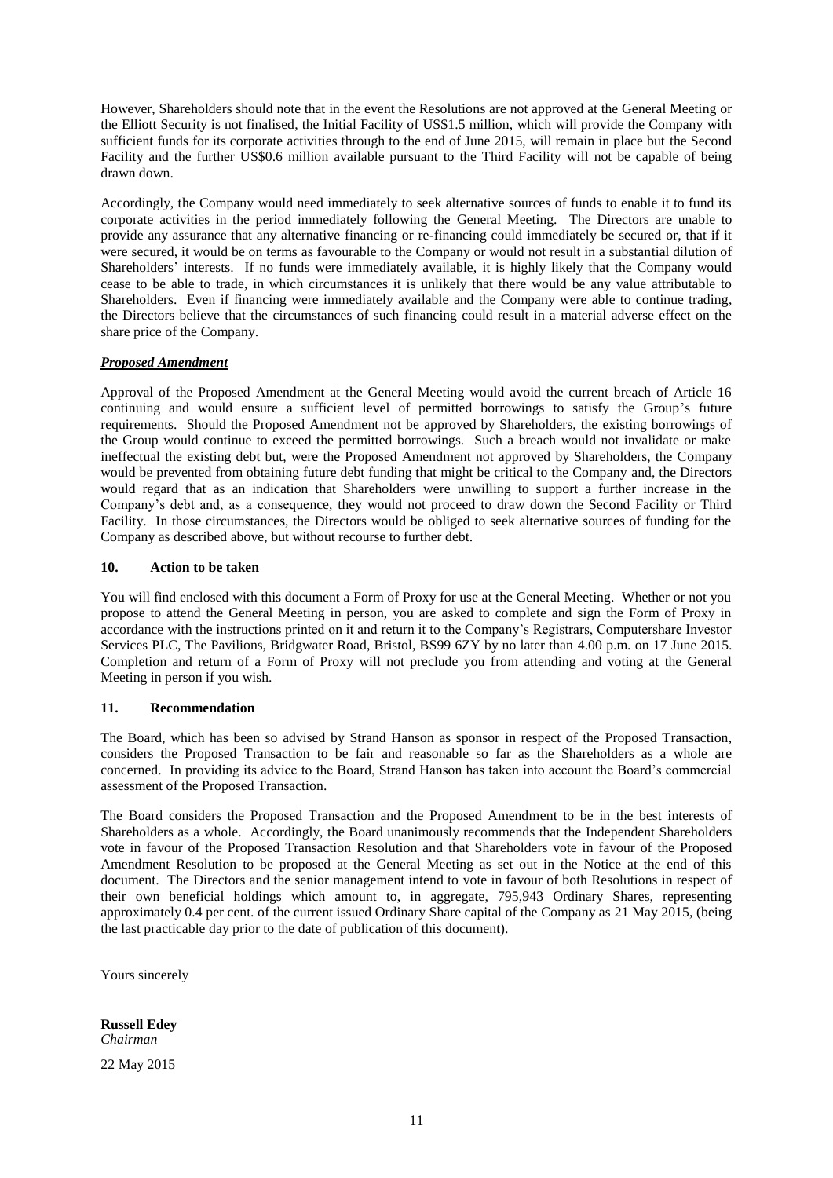However, Shareholders should note that in the event the Resolutions are not approved at the General Meeting or the Elliott Security is not finalised, the Initial Facility of US\$1.5 million, which will provide the Company with sufficient funds for its corporate activities through to the end of June 2015, will remain in place but the Second Facility and the further US\$0.6 million available pursuant to the Third Facility will not be capable of being drawn down.

Accordingly, the Company would need immediately to seek alternative sources of funds to enable it to fund its corporate activities in the period immediately following the General Meeting. The Directors are unable to provide any assurance that any alternative financing or re-financing could immediately be secured or, that if it were secured, it would be on terms as favourable to the Company or would not result in a substantial dilution of Shareholders' interests. If no funds were immediately available, it is highly likely that the Company would cease to be able to trade, in which circumstances it is unlikely that there would be any value attributable to Shareholders. Even if financing were immediately available and the Company were able to continue trading, the Directors believe that the circumstances of such financing could result in a material adverse effect on the share price of the Company.

## *Proposed Amendment*

Approval of the Proposed Amendment at the General Meeting would avoid the current breach of Article 16 continuing and would ensure a sufficient level of permitted borrowings to satisfy the Group's future requirements. Should the Proposed Amendment not be approved by Shareholders, the existing borrowings of the Group would continue to exceed the permitted borrowings. Such a breach would not invalidate or make ineffectual the existing debt but, were the Proposed Amendment not approved by Shareholders, the Company would be prevented from obtaining future debt funding that might be critical to the Company and, the Directors would regard that as an indication that Shareholders were unwilling to support a further increase in the Company's debt and, as a consequence, they would not proceed to draw down the Second Facility or Third Facility. In those circumstances, the Directors would be obliged to seek alternative sources of funding for the Company as described above, but without recourse to further debt.

#### **10. Action to be taken**

You will find enclosed with this document a Form of Proxy for use at the General Meeting. Whether or not you propose to attend the General Meeting in person, you are asked to complete and sign the Form of Proxy in accordance with the instructions printed on it and return it to the Company's Registrars, Computershare Investor Services PLC, The Pavilions, Bridgwater Road, Bristol, BS99 6ZY by no later than 4.00 p.m. on 17 June 2015. Completion and return of a Form of Proxy will not preclude you from attending and voting at the General Meeting in person if you wish.

#### **11. Recommendation**

The Board, which has been so advised by Strand Hanson as sponsor in respect of the Proposed Transaction, considers the Proposed Transaction to be fair and reasonable so far as the Shareholders as a whole are concerned. In providing its advice to the Board, Strand Hanson has taken into account the Board's commercial assessment of the Proposed Transaction.

The Board considers the Proposed Transaction and the Proposed Amendment to be in the best interests of Shareholders as a whole. Accordingly, the Board unanimously recommends that the Independent Shareholders vote in favour of the Proposed Transaction Resolution and that Shareholders vote in favour of the Proposed Amendment Resolution to be proposed at the General Meeting as set out in the Notice at the end of this document. The Directors and the senior management intend to vote in favour of both Resolutions in respect of their own beneficial holdings which amount to, in aggregate, 795,943 Ordinary Shares, representing approximately 0.4 per cent. of the current issued Ordinary Share capital of the Company as 21 May 2015, (being the last practicable day prior to the date of publication of this document).

Yours sincerely

**Russell Edey** *Chairman*

22 May 2015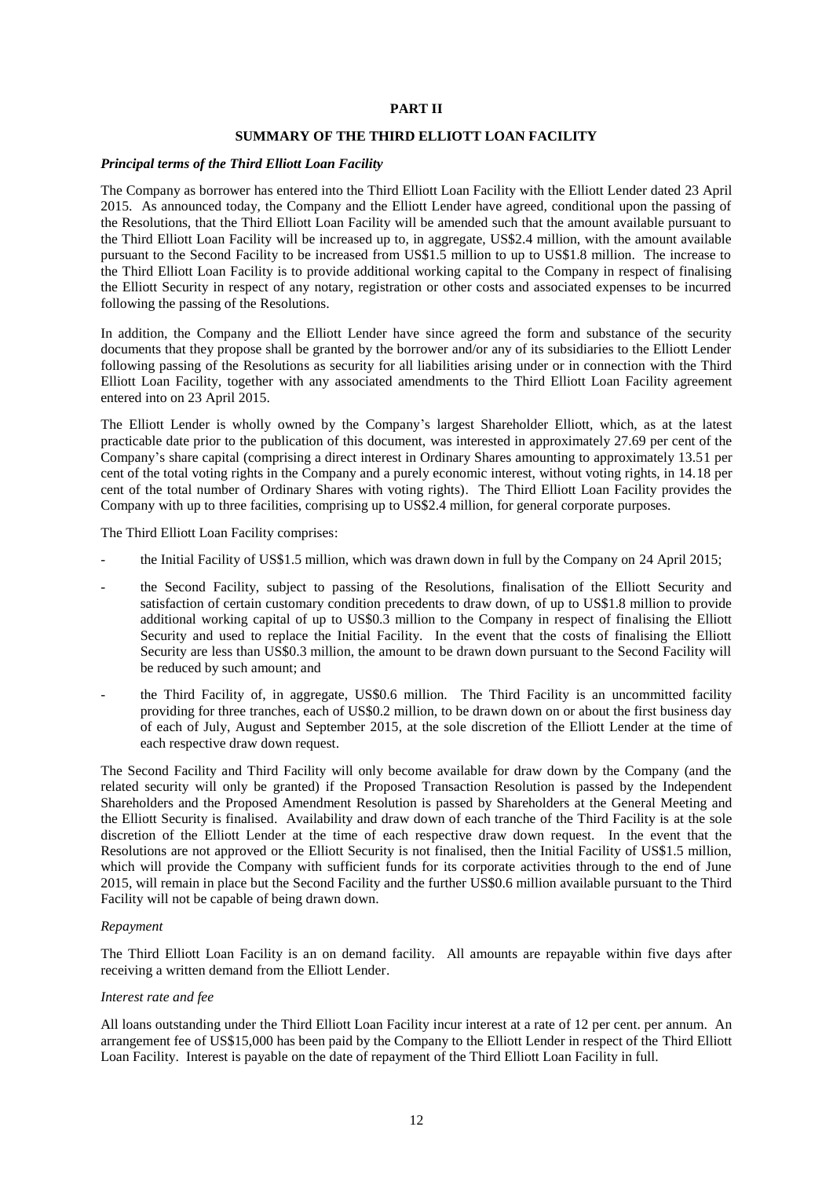#### **PART II**

#### **SUMMARY OF THE THIRD ELLIOTT LOAN FACILITY**

#### *Principal terms of the Third Elliott Loan Facility*

The Company as borrower has entered into the Third Elliott Loan Facility with the Elliott Lender dated 23 April 2015. As announced today, the Company and the Elliott Lender have agreed, conditional upon the passing of the Resolutions, that the Third Elliott Loan Facility will be amended such that the amount available pursuant to the Third Elliott Loan Facility will be increased up to, in aggregate, US\$2.4 million, with the amount available pursuant to the Second Facility to be increased from US\$1.5 million to up to US\$1.8 million. The increase to the Third Elliott Loan Facility is to provide additional working capital to the Company in respect of finalising the Elliott Security in respect of any notary, registration or other costs and associated expenses to be incurred following the passing of the Resolutions.

In addition, the Company and the Elliott Lender have since agreed the form and substance of the security documents that they propose shall be granted by the borrower and/or any of its subsidiaries to the Elliott Lender following passing of the Resolutions as security for all liabilities arising under or in connection with the Third Elliott Loan Facility, together with any associated amendments to the Third Elliott Loan Facility agreement entered into on 23 April 2015.

The Elliott Lender is wholly owned by the Company's largest Shareholder Elliott, which, as at the latest practicable date prior to the publication of this document, was interested in approximately 27.69 per cent of the Company's share capital (comprising a direct interest in Ordinary Shares amounting to approximately 13.51 per cent of the total voting rights in the Company and a purely economic interest, without voting rights, in 14.18 per cent of the total number of Ordinary Shares with voting rights). The Third Elliott Loan Facility provides the Company with up to three facilities, comprising up to US\$2.4 million, for general corporate purposes.

The Third Elliott Loan Facility comprises:

- the Initial Facility of US\$1.5 million, which was drawn down in full by the Company on 24 April 2015;
- the Second Facility, subject to passing of the Resolutions, finalisation of the Elliott Security and satisfaction of certain customary condition precedents to draw down, of up to US\$1.8 million to provide additional working capital of up to US\$0.3 million to the Company in respect of finalising the Elliott Security and used to replace the Initial Facility. In the event that the costs of finalising the Elliott Security are less than US\$0.3 million, the amount to be drawn down pursuant to the Second Facility will be reduced by such amount; and
- the Third Facility of, in aggregate, US\$0.6 million. The Third Facility is an uncommitted facility providing for three tranches, each of US\$0.2 million, to be drawn down on or about the first business day of each of July, August and September 2015, at the sole discretion of the Elliott Lender at the time of each respective draw down request.

The Second Facility and Third Facility will only become available for draw down by the Company (and the related security will only be granted) if the Proposed Transaction Resolution is passed by the Independent Shareholders and the Proposed Amendment Resolution is passed by Shareholders at the General Meeting and the Elliott Security is finalised. Availability and draw down of each tranche of the Third Facility is at the sole discretion of the Elliott Lender at the time of each respective draw down request. In the event that the Resolutions are not approved or the Elliott Security is not finalised, then the Initial Facility of US\$1.5 million, which will provide the Company with sufficient funds for its corporate activities through to the end of June 2015, will remain in place but the Second Facility and the further US\$0.6 million available pursuant to the Third Facility will not be capable of being drawn down.

#### *Repayment*

The Third Elliott Loan Facility is an on demand facility. All amounts are repayable within five days after receiving a written demand from the Elliott Lender.

#### *Interest rate and fee*

All loans outstanding under the Third Elliott Loan Facility incur interest at a rate of 12 per cent. per annum. An arrangement fee of US\$15,000 has been paid by the Company to the Elliott Lender in respect of the Third Elliott Loan Facility. Interest is payable on the date of repayment of the Third Elliott Loan Facility in full.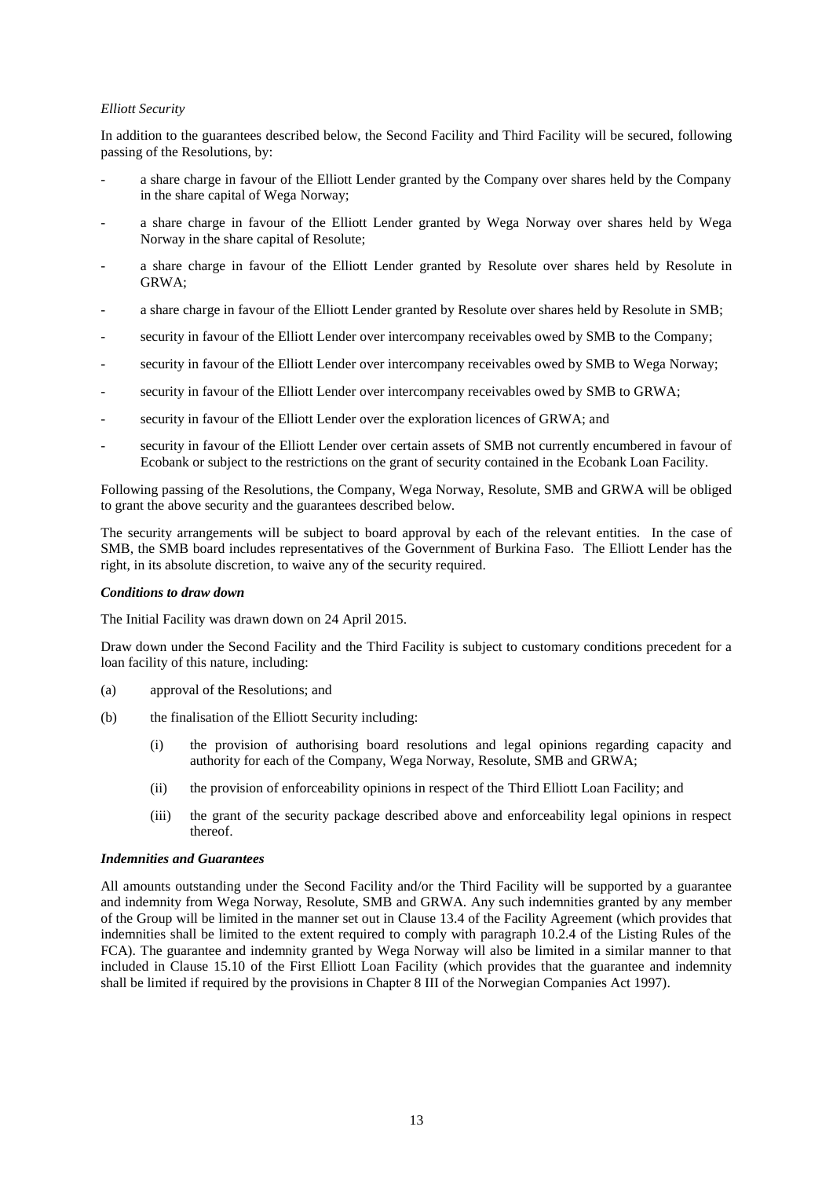#### *Elliott Security*

In addition to the guarantees described below, the Second Facility and Third Facility will be secured, following passing of the Resolutions, by:

- a share charge in favour of the Elliott Lender granted by the Company over shares held by the Company in the share capital of Wega Norway;
- a share charge in favour of the Elliott Lender granted by Wega Norway over shares held by Wega Norway in the share capital of Resolute;
- a share charge in favour of the Elliott Lender granted by Resolute over shares held by Resolute in GRWA;
- a share charge in favour of the Elliott Lender granted by Resolute over shares held by Resolute in SMB;
- security in favour of the Elliott Lender over intercompany receivables owed by SMB to the Company;
- security in favour of the Elliott Lender over intercompany receivables owed by SMB to Wega Norway;
- security in favour of the Elliott Lender over intercompany receivables owed by SMB to GRWA;
- security in favour of the Elliott Lender over the exploration licences of GRWA; and
- security in favour of the Elliott Lender over certain assets of SMB not currently encumbered in favour of Ecobank or subject to the restrictions on the grant of security contained in the Ecobank Loan Facility.

Following passing of the Resolutions, the Company, Wega Norway, Resolute, SMB and GRWA will be obliged to grant the above security and the guarantees described below.

The security arrangements will be subject to board approval by each of the relevant entities. In the case of SMB, the SMB board includes representatives of the Government of Burkina Faso. The Elliott Lender has the right, in its absolute discretion, to waive any of the security required.

#### *Conditions to draw down*

The Initial Facility was drawn down on 24 April 2015.

Draw down under the Second Facility and the Third Facility is subject to customary conditions precedent for a loan facility of this nature, including:

- (a) approval of the Resolutions; and
- (b) the finalisation of the Elliott Security including:
	- (i) the provision of authorising board resolutions and legal opinions regarding capacity and authority for each of the Company, Wega Norway, Resolute, SMB and GRWA;
	- (ii) the provision of enforceability opinions in respect of the Third Elliott Loan Facility; and
	- (iii) the grant of the security package described above and enforceability legal opinions in respect thereof.

#### *Indemnities and Guarantees*

All amounts outstanding under the Second Facility and/or the Third Facility will be supported by a guarantee and indemnity from Wega Norway, Resolute, SMB and GRWA. Any such indemnities granted by any member of the Group will be limited in the manner set out in Clause 13.4 of the Facility Agreement (which provides that indemnities shall be limited to the extent required to comply with paragraph 10.2.4 of the Listing Rules of the FCA). The guarantee and indemnity granted by Wega Norway will also be limited in a similar manner to that included in Clause 15.10 of the First Elliott Loan Facility (which provides that the guarantee and indemnity shall be limited if required by the provisions in Chapter 8 III of the Norwegian Companies Act 1997).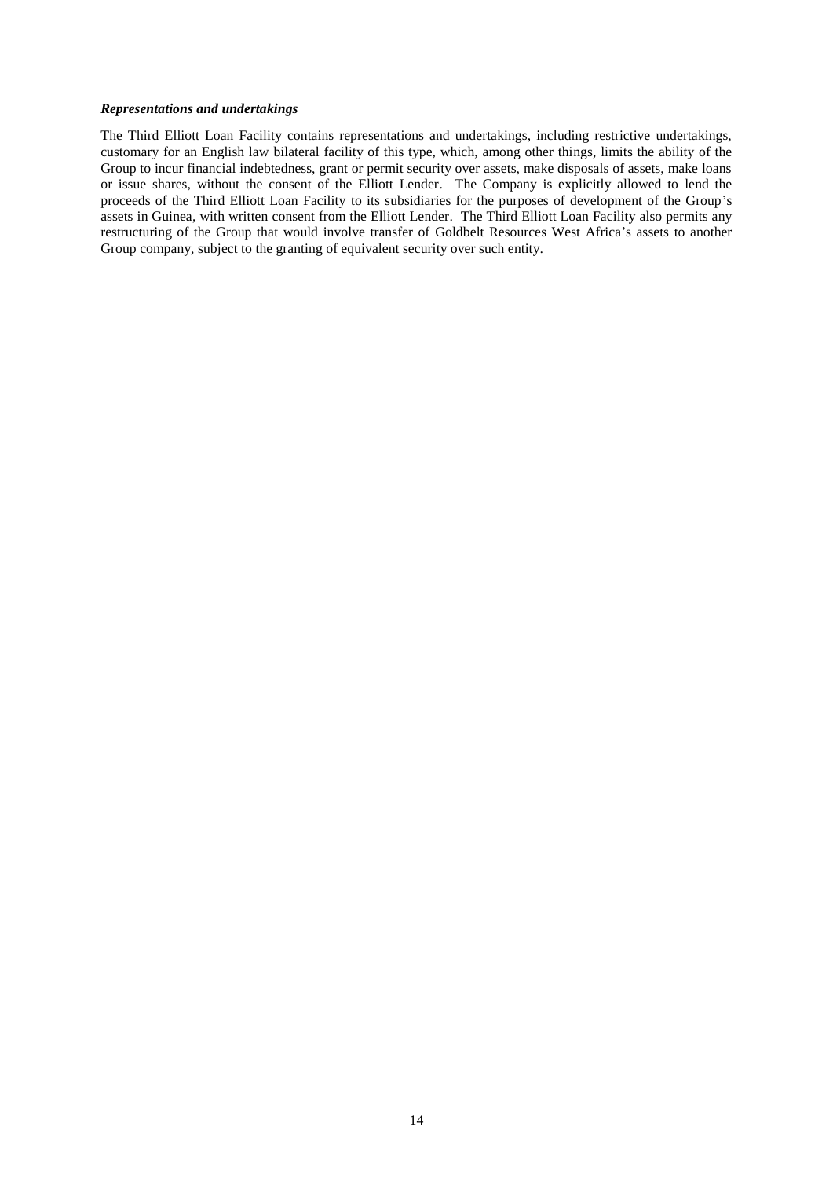#### *Representations and undertakings*

The Third Elliott Loan Facility contains representations and undertakings, including restrictive undertakings, customary for an English law bilateral facility of this type, which, among other things, limits the ability of the Group to incur financial indebtedness, grant or permit security over assets, make disposals of assets, make loans or issue shares, without the consent of the Elliott Lender. The Company is explicitly allowed to lend the proceeds of the Third Elliott Loan Facility to its subsidiaries for the purposes of development of the Group's assets in Guinea, with written consent from the Elliott Lender. The Third Elliott Loan Facility also permits any restructuring of the Group that would involve transfer of Goldbelt Resources West Africa's assets to another Group company, subject to the granting of equivalent security over such entity.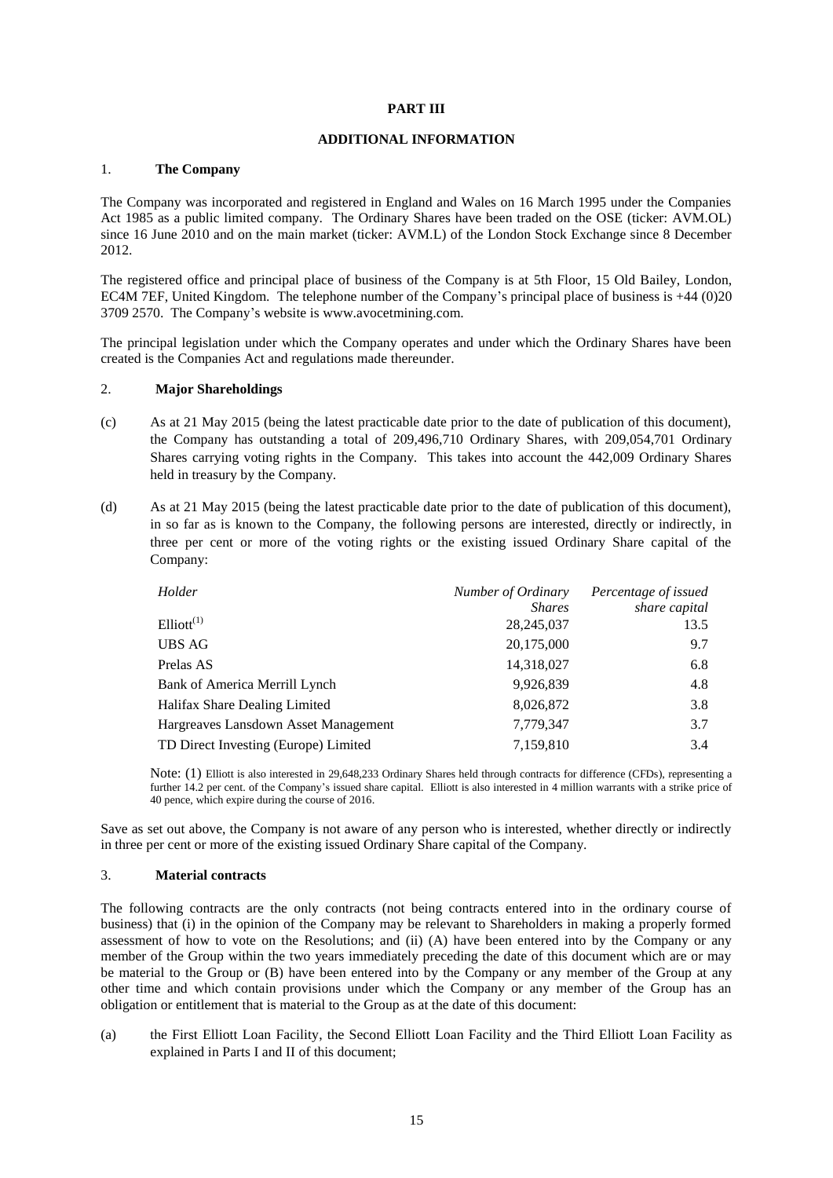#### **PART III**

#### **ADDITIONAL INFORMATION**

#### 1. **The Company**

The Company was incorporated and registered in England and Wales on 16 March 1995 under the Companies Act 1985 as a public limited company. The Ordinary Shares have been traded on the OSE (ticker: AVM.OL) since 16 June 2010 and on the main market (ticker: AVM.L) of the London Stock Exchange since 8 December 2012.

The registered office and principal place of business of the Company is at 5th Floor, 15 Old Bailey, London, EC4M 7EF, United Kingdom. The telephone number of the Company's principal place of business is +44 (0)20 3709 2570. The Company's website is www.avocetmining.com.

The principal legislation under which the Company operates and under which the Ordinary Shares have been created is the Companies Act and regulations made thereunder.

#### 2. **Major Shareholdings**

- (c) As at 21 May 2015 (being the latest practicable date prior to the date of publication of this document), the Company has outstanding a total of 209,496,710 Ordinary Shares, with 209,054,701 Ordinary Shares carrying voting rights in the Company. This takes into account the 442,009 Ordinary Shares held in treasury by the Company.
- (d) As at 21 May 2015 (being the latest practicable date prior to the date of publication of this document), in so far as is known to the Company, the following persons are interested, directly or indirectly, in three per cent or more of the voting rights or the existing issued Ordinary Share capital of the Company:

| Holder                               | Number of Ordinary | Percentage of issued |
|--------------------------------------|--------------------|----------------------|
|                                      | <b>Shares</b>      | share capital        |
| $Elliott^{(1)}$                      | 28,245,037         | 13.5                 |
| <b>UBS AG</b>                        | 20,175,000         | 9.7                  |
| Prelas AS                            | 14,318,027         | 6.8                  |
| Bank of America Merrill Lynch        | 9,926,839          | 4.8                  |
| Halifax Share Dealing Limited        | 8,026,872          | 3.8                  |
| Hargreaves Lansdown Asset Management | 7,779,347          | 3.7                  |
| TD Direct Investing (Europe) Limited | 7,159,810          | 3.4                  |

Note: (1) Elliott is also interested in 29,648,233 Ordinary Shares held through contracts for difference (CFDs), representing a further 14.2 per cent. of the Company's issued share capital. Elliott is also interested in 4 million warrants with a strike price of 40 pence, which expire during the course of 2016.

Save as set out above, the Company is not aware of any person who is interested, whether directly or indirectly in three per cent or more of the existing issued Ordinary Share capital of the Company.

#### 3. **Material contracts**

The following contracts are the only contracts (not being contracts entered into in the ordinary course of business) that (i) in the opinion of the Company may be relevant to Shareholders in making a properly formed assessment of how to vote on the Resolutions; and (ii) (A) have been entered into by the Company or any member of the Group within the two years immediately preceding the date of this document which are or may be material to the Group or (B) have been entered into by the Company or any member of the Group at any other time and which contain provisions under which the Company or any member of the Group has an obligation or entitlement that is material to the Group as at the date of this document:

(a) the First Elliott Loan Facility, the Second Elliott Loan Facility and the Third Elliott Loan Facility as explained in Parts I and II of this document;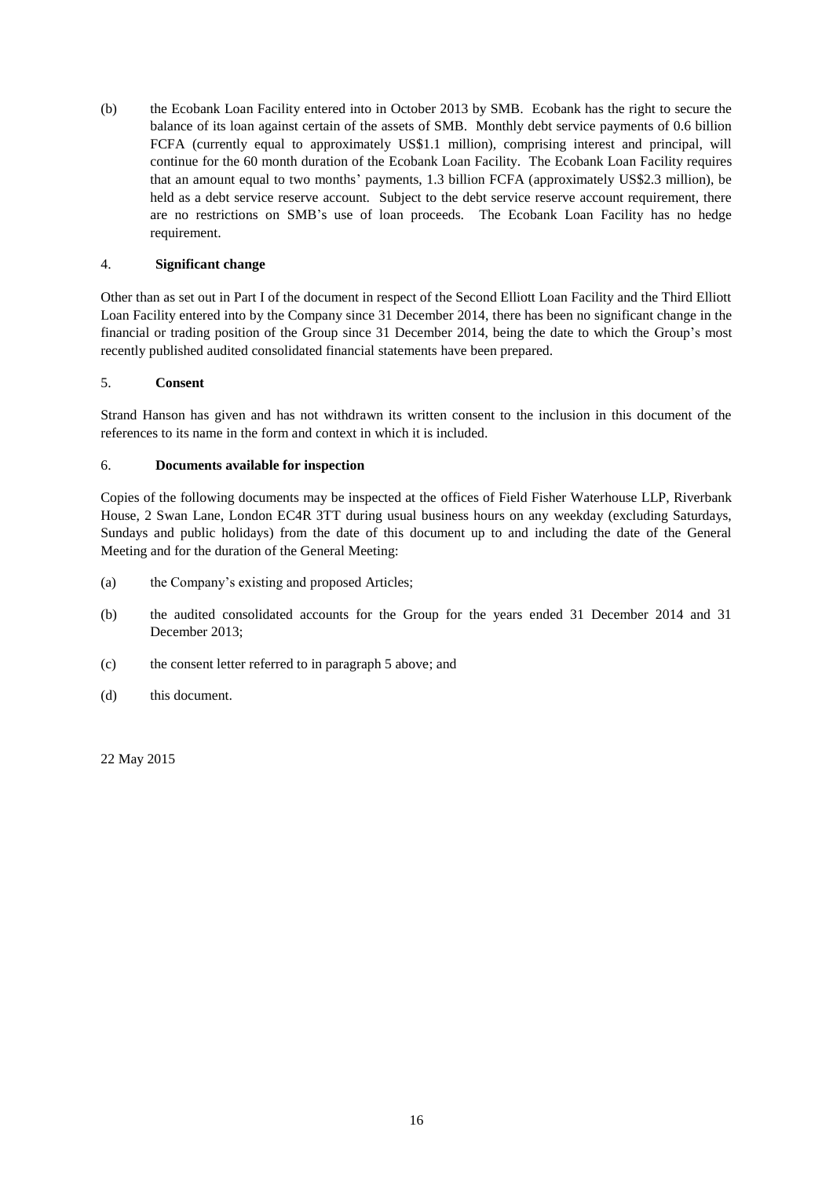(b) the Ecobank Loan Facility entered into in October 2013 by SMB. Ecobank has the right to secure the balance of its loan against certain of the assets of SMB. Monthly debt service payments of 0.6 billion FCFA (currently equal to approximately US\$1.1 million), comprising interest and principal, will continue for the 60 month duration of the Ecobank Loan Facility. The Ecobank Loan Facility requires that an amount equal to two months' payments, 1.3 billion FCFA (approximately US\$2.3 million), be held as a debt service reserve account. Subject to the debt service reserve account requirement, there are no restrictions on SMB's use of loan proceeds. The Ecobank Loan Facility has no hedge requirement.

## 4. **Significant change**

Other than as set out in Part I of the document in respect of the Second Elliott Loan Facility and the Third Elliott Loan Facility entered into by the Company since 31 December 2014, there has been no significant change in the financial or trading position of the Group since 31 December 2014, being the date to which the Group's most recently published audited consolidated financial statements have been prepared.

## 5. **Consent**

Strand Hanson has given and has not withdrawn its written consent to the inclusion in this document of the references to its name in the form and context in which it is included.

#### 6. **Documents available for inspection**

Copies of the following documents may be inspected at the offices of Field Fisher Waterhouse LLP, Riverbank House, 2 Swan Lane, London EC4R 3TT during usual business hours on any weekday (excluding Saturdays, Sundays and public holidays) from the date of this document up to and including the date of the General Meeting and for the duration of the General Meeting:

- (a) the Company's existing and proposed Articles;
- (b) the audited consolidated accounts for the Group for the years ended 31 December 2014 and 31 December 2013;
- (c) the consent letter referred to in paragraph 5 above; and
- (d) this document.

22 May 2015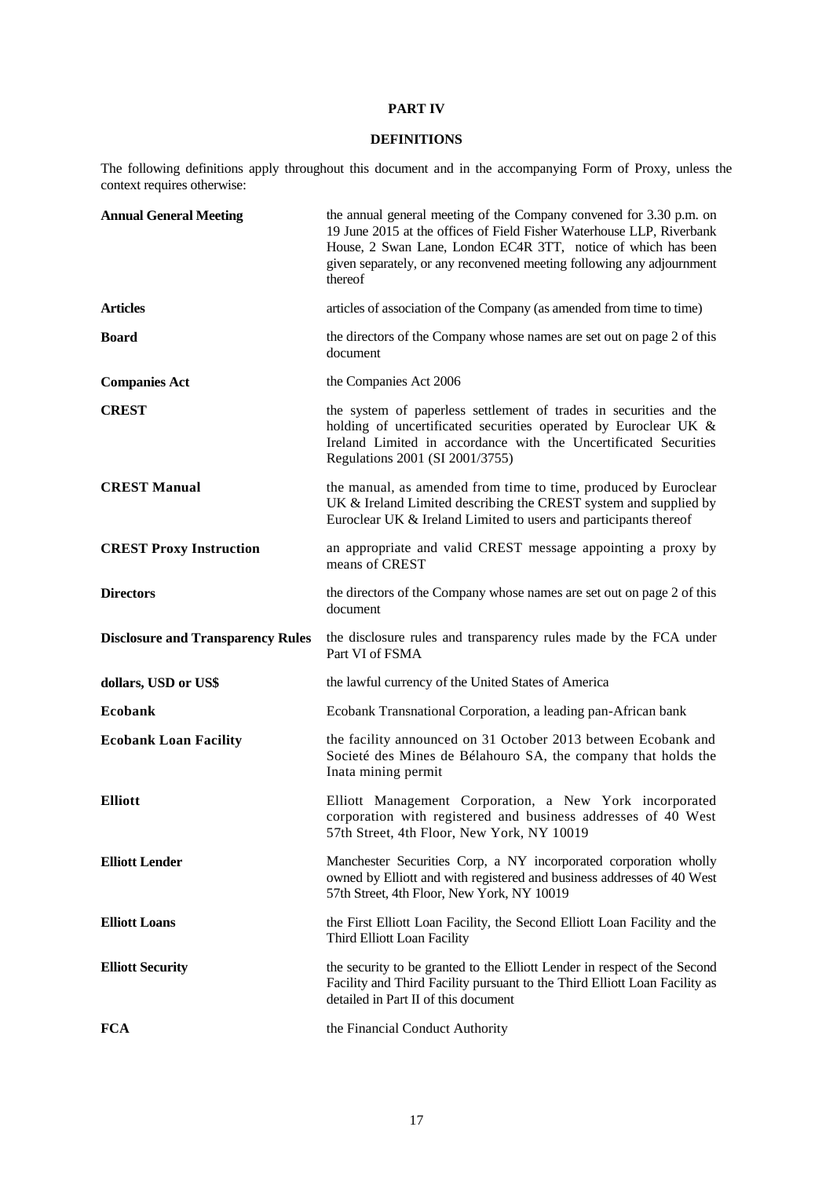## **PART IV**

## **DEFINITIONS**

The following definitions apply throughout this document and in the accompanying Form of Proxy, unless the context requires otherwise:

| <b>Annual General Meeting</b>            | the annual general meeting of the Company convened for 3.30 p.m. on<br>19 June 2015 at the offices of Field Fisher Waterhouse LLP, Riverbank<br>House, 2 Swan Lane, London EC4R 3TT, notice of which has been<br>given separately, or any reconvened meeting following any adjournment<br>thereof |
|------------------------------------------|---------------------------------------------------------------------------------------------------------------------------------------------------------------------------------------------------------------------------------------------------------------------------------------------------|
| <b>Articles</b>                          | articles of association of the Company (as amended from time to time)                                                                                                                                                                                                                             |
| <b>Board</b>                             | the directors of the Company whose names are set out on page 2 of this<br>document                                                                                                                                                                                                                |
| <b>Companies Act</b>                     | the Companies Act 2006                                                                                                                                                                                                                                                                            |
| <b>CREST</b>                             | the system of paperless settlement of trades in securities and the<br>holding of uncertificated securities operated by Euroclear UK &<br>Ireland Limited in accordance with the Uncertificated Securities<br>Regulations 2001 (SI 2001/3755)                                                      |
| <b>CREST Manual</b>                      | the manual, as amended from time to time, produced by Euroclear<br>UK & Ireland Limited describing the CREST system and supplied by<br>Euroclear UK & Ireland Limited to users and participants thereof                                                                                           |
| <b>CREST Proxy Instruction</b>           | an appropriate and valid CREST message appointing a proxy by<br>means of CREST                                                                                                                                                                                                                    |
| <b>Directors</b>                         | the directors of the Company whose names are set out on page 2 of this<br>document                                                                                                                                                                                                                |
|                                          |                                                                                                                                                                                                                                                                                                   |
| <b>Disclosure and Transparency Rules</b> | the disclosure rules and transparency rules made by the FCA under<br>Part VI of FSMA                                                                                                                                                                                                              |
| dollars, USD or US\$                     | the lawful currency of the United States of America                                                                                                                                                                                                                                               |
| Ecobank                                  | Ecobank Transnational Corporation, a leading pan-African bank                                                                                                                                                                                                                                     |
| <b>Ecobank Loan Facility</b>             | the facility announced on 31 October 2013 between Ecobank and<br>Societé des Mines de Bélahouro SA, the company that holds the<br>Inata mining permit                                                                                                                                             |
| <b>Elliott</b>                           | Elliott Management Corporation, a New York incorporated<br>corporation with registered and business addresses of 40 West<br>57th Street, 4th Floor, New York, NY 10019                                                                                                                            |
| <b>Elliott Lender</b>                    | Manchester Securities Corp, a NY incorporated corporation wholly<br>owned by Elliott and with registered and business addresses of 40 West<br>57th Street, 4th Floor, New York, NY 10019                                                                                                          |
| <b>Elliott Loans</b>                     | the First Elliott Loan Facility, the Second Elliott Loan Facility and the<br>Third Elliott Loan Facility                                                                                                                                                                                          |
| <b>Elliott Security</b>                  | the security to be granted to the Elliott Lender in respect of the Second<br>Facility and Third Facility pursuant to the Third Elliott Loan Facility as<br>detailed in Part II of this document                                                                                                   |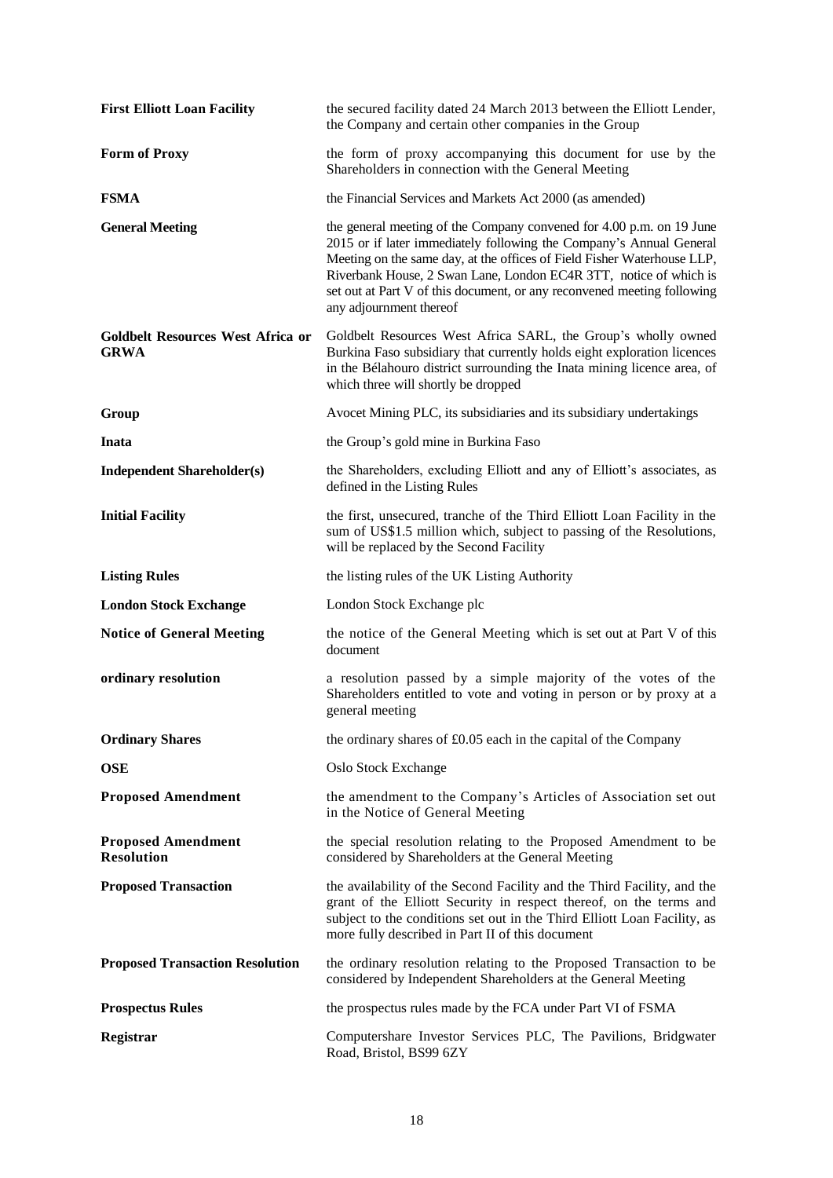| <b>First Elliott Loan Facility</b>                      | the secured facility dated 24 March 2013 between the Elliott Lender,<br>the Company and certain other companies in the Group                                                                                                                                                                                                                                                                      |
|---------------------------------------------------------|---------------------------------------------------------------------------------------------------------------------------------------------------------------------------------------------------------------------------------------------------------------------------------------------------------------------------------------------------------------------------------------------------|
| <b>Form of Proxy</b>                                    | the form of proxy accompanying this document for use by the<br>Shareholders in connection with the General Meeting                                                                                                                                                                                                                                                                                |
| <b>FSMA</b>                                             | the Financial Services and Markets Act 2000 (as amended)                                                                                                                                                                                                                                                                                                                                          |
| <b>General Meeting</b>                                  | the general meeting of the Company convened for 4.00 p.m. on 19 June<br>2015 or if later immediately following the Company's Annual General<br>Meeting on the same day, at the offices of Field Fisher Waterhouse LLP,<br>Riverbank House, 2 Swan Lane, London EC4R 3TT, notice of which is<br>set out at Part V of this document, or any reconvened meeting following<br>any adjournment thereof |
| <b>Goldbelt Resources West Africa or</b><br><b>GRWA</b> | Goldbelt Resources West Africa SARL, the Group's wholly owned<br>Burkina Faso subsidiary that currently holds eight exploration licences<br>in the Bélahouro district surrounding the Inata mining licence area, of<br>which three will shortly be dropped                                                                                                                                        |
| Group                                                   | Avocet Mining PLC, its subsidiaries and its subsidiary undertakings                                                                                                                                                                                                                                                                                                                               |
| <b>Inata</b>                                            | the Group's gold mine in Burkina Faso                                                                                                                                                                                                                                                                                                                                                             |
| <b>Independent Shareholder(s)</b>                       | the Shareholders, excluding Elliott and any of Elliott's associates, as<br>defined in the Listing Rules                                                                                                                                                                                                                                                                                           |
| <b>Initial Facility</b>                                 | the first, unsecured, tranche of the Third Elliott Loan Facility in the<br>sum of US\$1.5 million which, subject to passing of the Resolutions,<br>will be replaced by the Second Facility                                                                                                                                                                                                        |
| <b>Listing Rules</b>                                    | the listing rules of the UK Listing Authority                                                                                                                                                                                                                                                                                                                                                     |
| <b>London Stock Exchange</b>                            | London Stock Exchange plc                                                                                                                                                                                                                                                                                                                                                                         |
| <b>Notice of General Meeting</b>                        | the notice of the General Meeting which is set out at Part V of this<br>document                                                                                                                                                                                                                                                                                                                  |
| ordinary resolution                                     | a resolution passed by a simple majority of the votes of the<br>Shareholders entitled to vote and voting in person or by proxy at a<br>general meeting                                                                                                                                                                                                                                            |
| <b>Ordinary Shares</b>                                  | the ordinary shares of £0.05 each in the capital of the Company                                                                                                                                                                                                                                                                                                                                   |
| <b>OSE</b>                                              | Oslo Stock Exchange                                                                                                                                                                                                                                                                                                                                                                               |
| <b>Proposed Amendment</b>                               | the amendment to the Company's Articles of Association set out<br>in the Notice of General Meeting                                                                                                                                                                                                                                                                                                |
| <b>Proposed Amendment</b><br><b>Resolution</b>          | the special resolution relating to the Proposed Amendment to be<br>considered by Shareholders at the General Meeting                                                                                                                                                                                                                                                                              |
| <b>Proposed Transaction</b>                             | the availability of the Second Facility and the Third Facility, and the<br>grant of the Elliott Security in respect thereof, on the terms and<br>subject to the conditions set out in the Third Elliott Loan Facility, as<br>more fully described in Part II of this document                                                                                                                     |
| <b>Proposed Transaction Resolution</b>                  | the ordinary resolution relating to the Proposed Transaction to be<br>considered by Independent Shareholders at the General Meeting                                                                                                                                                                                                                                                               |
| <b>Prospectus Rules</b>                                 | the prospectus rules made by the FCA under Part VI of FSMA                                                                                                                                                                                                                                                                                                                                        |
| Registrar                                               | Computershare Investor Services PLC, The Pavilions, Bridgwater<br>Road, Bristol, BS99 6ZY                                                                                                                                                                                                                                                                                                         |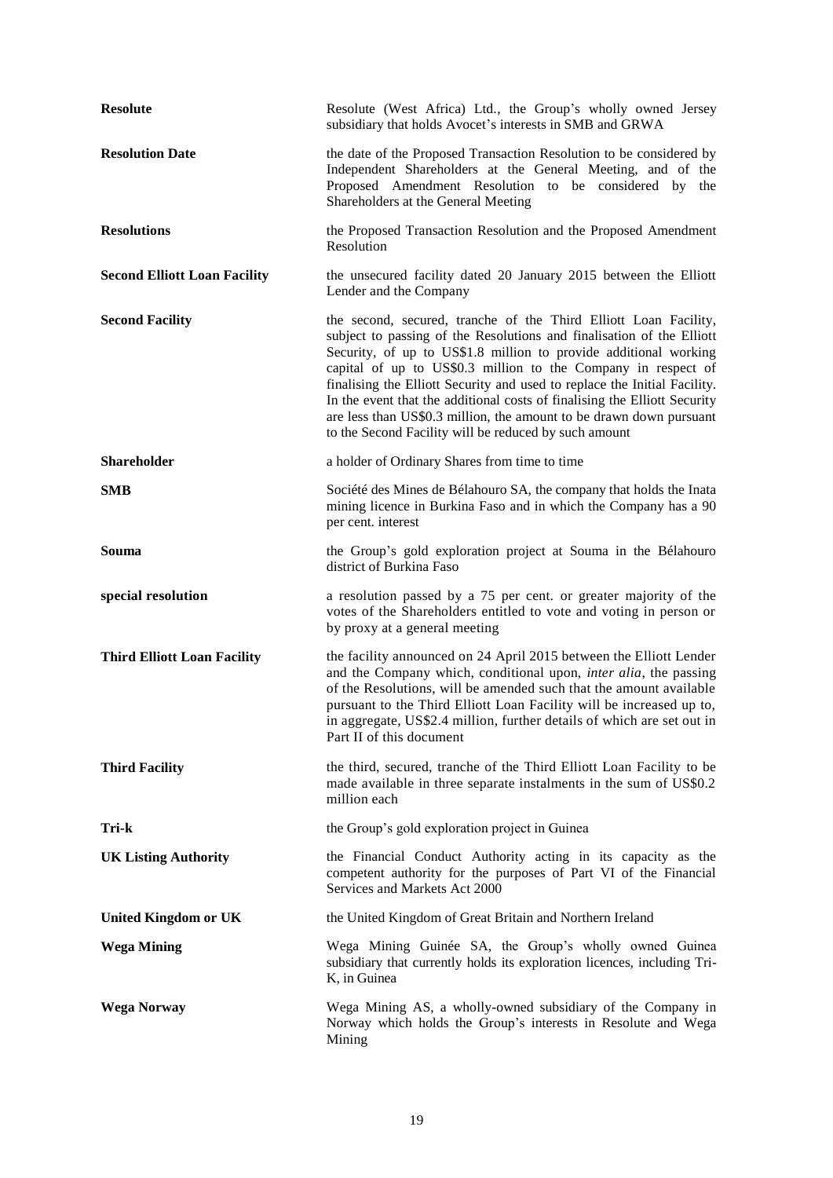| <b>Resolute</b>                     | Resolute (West Africa) Ltd., the Group's wholly owned Jersey<br>subsidiary that holds Avocet's interests in SMB and GRWA                                                                                                                                                                                                                                                                                                                                                                                                                                                 |
|-------------------------------------|--------------------------------------------------------------------------------------------------------------------------------------------------------------------------------------------------------------------------------------------------------------------------------------------------------------------------------------------------------------------------------------------------------------------------------------------------------------------------------------------------------------------------------------------------------------------------|
| <b>Resolution Date</b>              | the date of the Proposed Transaction Resolution to be considered by<br>Independent Shareholders at the General Meeting, and of the<br>Proposed Amendment Resolution to be considered by the<br>Shareholders at the General Meeting                                                                                                                                                                                                                                                                                                                                       |
| <b>Resolutions</b>                  | the Proposed Transaction Resolution and the Proposed Amendment<br>Resolution                                                                                                                                                                                                                                                                                                                                                                                                                                                                                             |
| <b>Second Elliott Loan Facility</b> | the unsecured facility dated 20 January 2015 between the Elliott<br>Lender and the Company                                                                                                                                                                                                                                                                                                                                                                                                                                                                               |
| <b>Second Facility</b>              | the second, secured, tranche of the Third Elliott Loan Facility,<br>subject to passing of the Resolutions and finalisation of the Elliott<br>Security, of up to US\$1.8 million to provide additional working<br>capital of up to US\$0.3 million to the Company in respect of<br>finalising the Elliott Security and used to replace the Initial Facility.<br>In the event that the additional costs of finalising the Elliott Security<br>are less than US\$0.3 million, the amount to be drawn down pursuant<br>to the Second Facility will be reduced by such amount |
| <b>Shareholder</b>                  | a holder of Ordinary Shares from time to time                                                                                                                                                                                                                                                                                                                                                                                                                                                                                                                            |
| <b>SMB</b>                          | Société des Mines de Bélahouro SA, the company that holds the Inata<br>mining licence in Burkina Faso and in which the Company has a 90<br>per cent. interest                                                                                                                                                                                                                                                                                                                                                                                                            |
| Souma                               | the Group's gold exploration project at Souma in the Bélahouro<br>district of Burkina Faso                                                                                                                                                                                                                                                                                                                                                                                                                                                                               |
| special resolution                  | a resolution passed by a 75 per cent. or greater majority of the<br>votes of the Shareholders entitled to vote and voting in person or<br>by proxy at a general meeting                                                                                                                                                                                                                                                                                                                                                                                                  |
| <b>Third Elliott Loan Facility</b>  | the facility announced on 24 April 2015 between the Elliott Lender<br>and the Company which, conditional upon, <i>inter alia</i> , the passing<br>of the Resolutions, will be amended such that the amount available<br>pursuant to the Third Elliott Loan Facility will be increased up to,<br>in aggregate, US\$2.4 million, further details of which are set out in<br>Part II of this document                                                                                                                                                                       |
| <b>Third Facility</b>               | the third, secured, tranche of the Third Elliott Loan Facility to be<br>made available in three separate instalments in the sum of US\$0.2<br>million each                                                                                                                                                                                                                                                                                                                                                                                                               |
| Tri-k                               | the Group's gold exploration project in Guinea                                                                                                                                                                                                                                                                                                                                                                                                                                                                                                                           |
| <b>UK Listing Authority</b>         | the Financial Conduct Authority acting in its capacity as the<br>competent authority for the purposes of Part VI of the Financial<br>Services and Markets Act 2000                                                                                                                                                                                                                                                                                                                                                                                                       |
| <b>United Kingdom or UK</b>         | the United Kingdom of Great Britain and Northern Ireland                                                                                                                                                                                                                                                                                                                                                                                                                                                                                                                 |
| <b>Wega Mining</b>                  | Wega Mining Guinée SA, the Group's wholly owned Guinea<br>subsidiary that currently holds its exploration licences, including Tri-<br>K, in Guinea                                                                                                                                                                                                                                                                                                                                                                                                                       |
| <b>Wega Norway</b>                  | Wega Mining AS, a wholly-owned subsidiary of the Company in<br>Norway which holds the Group's interests in Resolute and Wega<br>Mining                                                                                                                                                                                                                                                                                                                                                                                                                                   |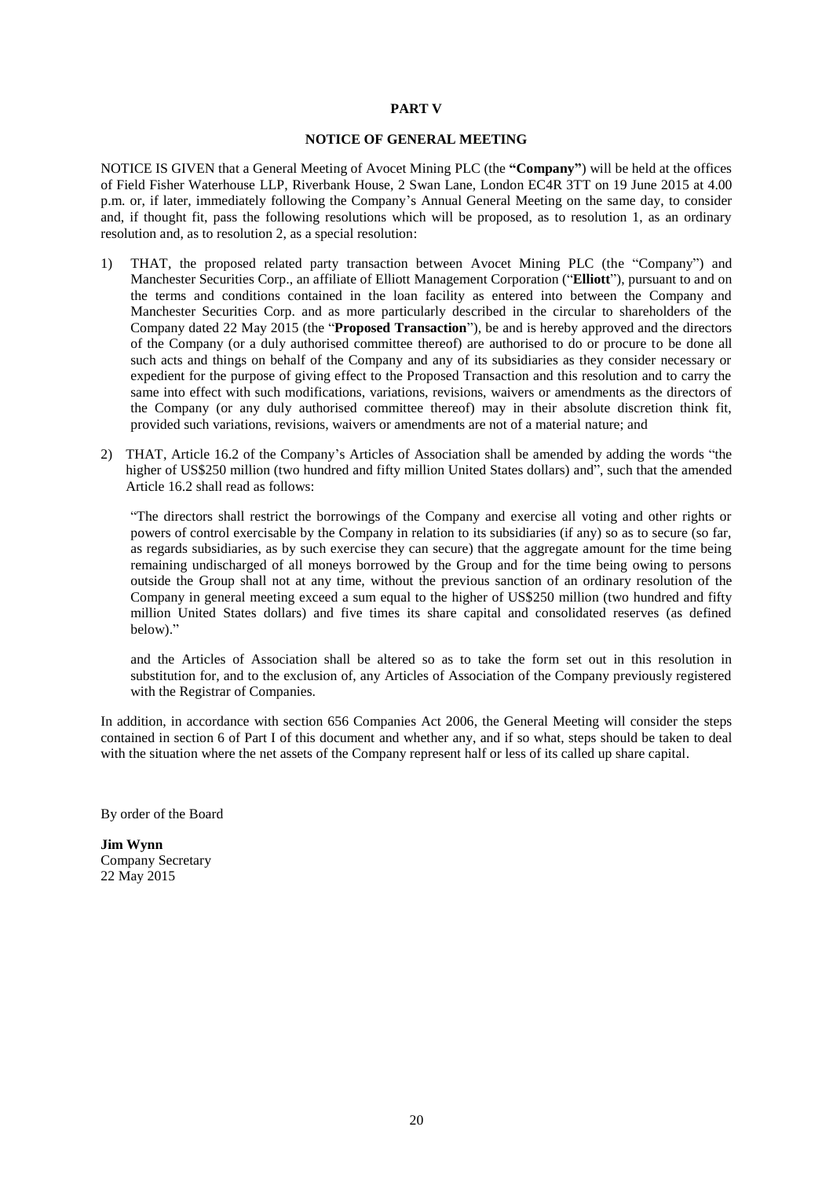#### **PART V**

#### **NOTICE OF GENERAL MEETING**

NOTICE IS GIVEN that a General Meeting of Avocet Mining PLC (the **"Company"**) will be held at the offices of Field Fisher Waterhouse LLP, Riverbank House, 2 Swan Lane, London EC4R 3TT on 19 June 2015 at 4.00 p.m. or, if later, immediately following the Company's Annual General Meeting on the same day, to consider and, if thought fit, pass the following resolutions which will be proposed, as to resolution 1, as an ordinary resolution and, as to resolution 2, as a special resolution:

- 1) THAT, the proposed related party transaction between Avocet Mining PLC (the "Company") and Manchester Securities Corp., an affiliate of Elliott Management Corporation ("**Elliott**"), pursuant to and on the terms and conditions contained in the loan facility as entered into between the Company and Manchester Securities Corp. and as more particularly described in the circular to shareholders of the Company dated 22 May 2015 (the "**Proposed Transaction**"), be and is hereby approved and the directors of the Company (or a duly authorised committee thereof) are authorised to do or procure to be done all such acts and things on behalf of the Company and any of its subsidiaries as they consider necessary or expedient for the purpose of giving effect to the Proposed Transaction and this resolution and to carry the same into effect with such modifications, variations, revisions, waivers or amendments as the directors of the Company (or any duly authorised committee thereof) may in their absolute discretion think fit, provided such variations, revisions, waivers or amendments are not of a material nature; and
- 2) THAT, Article 16.2 of the Company's Articles of Association shall be amended by adding the words "the higher of US\$250 million (two hundred and fifty million United States dollars) and", such that the amended Article 16.2 shall read as follows:

"The directors shall restrict the borrowings of the Company and exercise all voting and other rights or powers of control exercisable by the Company in relation to its subsidiaries (if any) so as to secure (so far, as regards subsidiaries, as by such exercise they can secure) that the aggregate amount for the time being remaining undischarged of all moneys borrowed by the Group and for the time being owing to persons outside the Group shall not at any time, without the previous sanction of an ordinary resolution of the Company in general meeting exceed a sum equal to the higher of US\$250 million (two hundred and fifty million United States dollars) and five times its share capital and consolidated reserves (as defined below)."

and the Articles of Association shall be altered so as to take the form set out in this resolution in substitution for, and to the exclusion of, any Articles of Association of the Company previously registered with the Registrar of Companies.

In addition, in accordance with section 656 Companies Act 2006, the General Meeting will consider the steps contained in section 6 of Part I of this document and whether any, and if so what, steps should be taken to deal with the situation where the net assets of the Company represent half or less of its called up share capital.

By order of the Board

**Jim Wynn** Company Secretary 22 May 2015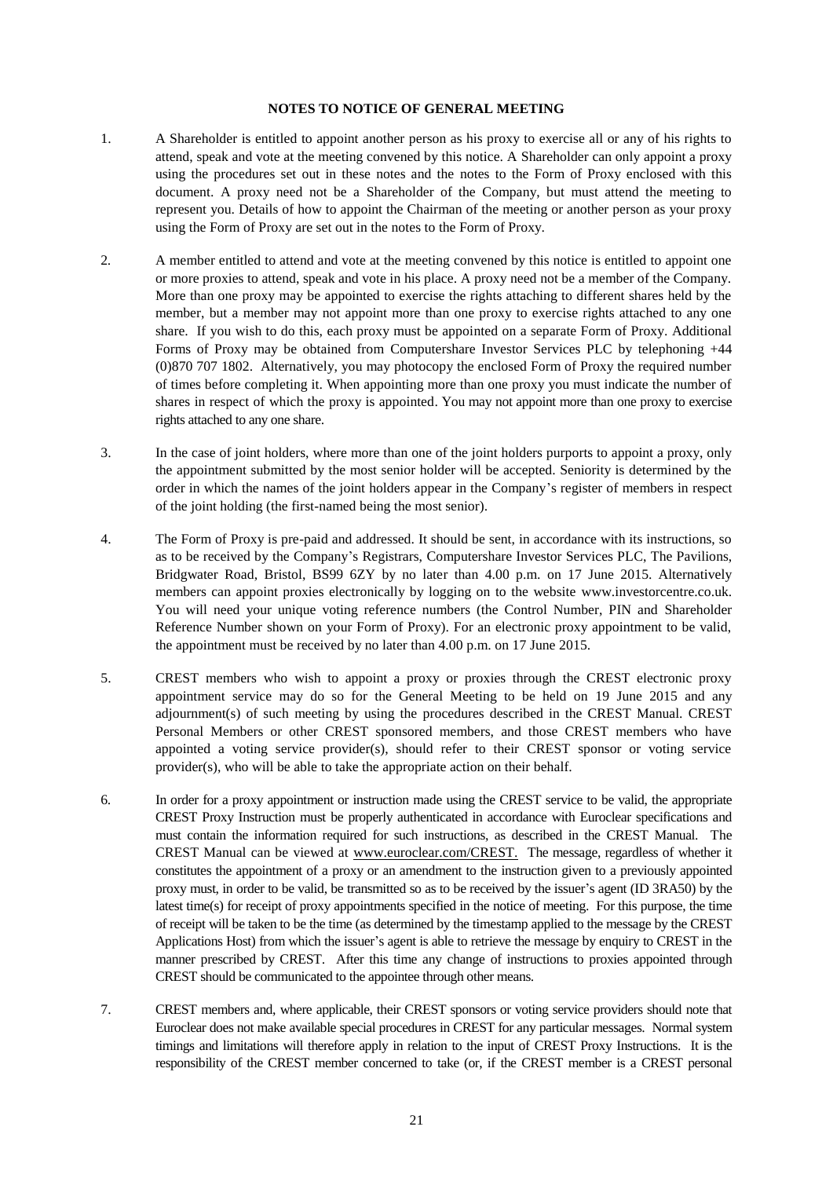#### **NOTES TO NOTICE OF GENERAL MEETING**

- 1. A Shareholder is entitled to appoint another person as his proxy to exercise all or any of his rights to attend, speak and vote at the meeting convened by this notice. A Shareholder can only appoint a proxy using the procedures set out in these notes and the notes to the Form of Proxy enclosed with this document. A proxy need not be a Shareholder of the Company, but must attend the meeting to represent you. Details of how to appoint the Chairman of the meeting or another person as your proxy using the Form of Proxy are set out in the notes to the Form of Proxy.
- 2. A member entitled to attend and vote at the meeting convened by this notice is entitled to appoint one or more proxies to attend, speak and vote in his place. A proxy need not be a member of the Company. More than one proxy may be appointed to exercise the rights attaching to different shares held by the member, but a member may not appoint more than one proxy to exercise rights attached to any one share. If you wish to do this, each proxy must be appointed on a separate Form of Proxy. Additional Forms of Proxy may be obtained from Computershare Investor Services PLC by telephoning +44 (0)870 707 1802. Alternatively, you may photocopy the enclosed Form of Proxy the required number of times before completing it. When appointing more than one proxy you must indicate the number of shares in respect of which the proxy is appointed. You may not appoint more than one proxy to exercise rights attached to any one share.
- 3. In the case of joint holders, where more than one of the joint holders purports to appoint a proxy, only the appointment submitted by the most senior holder will be accepted. Seniority is determined by the order in which the names of the joint holders appear in the Company's register of members in respect of the joint holding (the first-named being the most senior).
- 4. The Form of Proxy is pre-paid and addressed. It should be sent, in accordance with its instructions, so as to be received by the Company's Registrars, Computershare Investor Services PLC, The Pavilions, Bridgwater Road, Bristol, BS99 6ZY by no later than 4.00 p.m. on 17 June 2015. Alternatively members can appoint proxies electronically by logging on to the website www.investorcentre.co.uk. You will need your unique voting reference numbers (the Control Number, PIN and Shareholder Reference Number shown on your Form of Proxy). For an electronic proxy appointment to be valid, the appointment must be received by no later than 4.00 p.m. on 17 June 2015.
- 5. CREST members who wish to appoint a proxy or proxies through the CREST electronic proxy appointment service may do so for the General Meeting to be held on 19 June 2015 and any adjournment(s) of such meeting by using the procedures described in the CREST Manual. CREST Personal Members or other CREST sponsored members, and those CREST members who have appointed a voting service provider(s), should refer to their CREST sponsor or voting service provider(s), who will be able to take the appropriate action on their behalf.
- 6. In order for a proxy appointment or instruction made using the CREST service to be valid, the appropriate CREST Proxy Instruction must be properly authenticated in accordance with Euroclear specifications and must contain the information required for such instructions, as described in the CREST Manual. The CREST Manual can be viewed at www.euroclear.com/CREST. The message, regardless of whether it constitutes the appointment of a proxy or an amendment to the instruction given to a previously appointed proxy must, in order to be valid, be transmitted so as to be received by the issuer's agent (ID 3RA50) by the latest time(s) for receipt of proxy appointments specified in the notice of meeting. For this purpose, the time of receipt will be taken to be the time (as determined by the timestamp applied to the message by the CREST Applications Host) from which the issuer's agent is able to retrieve the message by enquiry to CREST in the manner prescribed by CREST. After this time any change of instructions to proxies appointed through CREST should be communicated to the appointee through other means.
- 7. CREST members and, where applicable, their CREST sponsors or voting service providers should note that Euroclear does not make available special procedures in CREST for any particular messages. Normal system timings and limitations will therefore apply in relation to the input of CREST Proxy Instructions. It is the responsibility of the CREST member concerned to take (or, if the CREST member is a CREST personal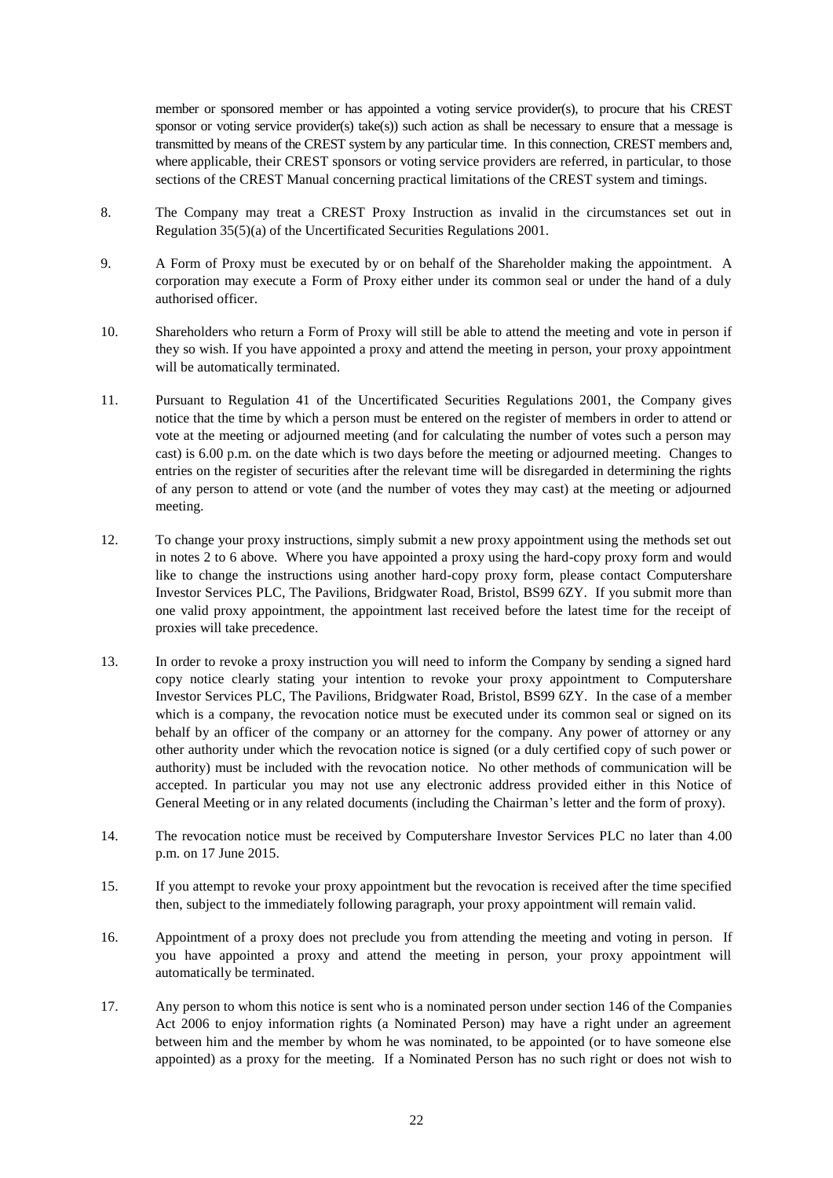member or sponsored member or has appointed a voting service provider(s), to procure that his CREST sponsor or voting service provider(s) take(s)) such action as shall be necessary to ensure that a message is transmitted by means of the CREST system by any particular time. In this connection, CREST members and, where applicable, their CREST sponsors or voting service providers are referred, in particular, to those sections of the CREST Manual concerning practical limitations of the CREST system and timings.

- 8. The Company may treat a CREST Proxy Instruction as invalid in the circumstances set out in Regulation 35(5)(a) of the Uncertificated Securities Regulations 2001.
- 9. A Form of Proxy must be executed by or on behalf of the Shareholder making the appointment. A corporation may execute a Form of Proxy either under its common seal or under the hand of a duly authorised officer.
- 10. Shareholders who return a Form of Proxy will still be able to attend the meeting and vote in person if they so wish. If you have appointed a proxy and attend the meeting in person, your proxy appointment will be automatically terminated.
- 11. Pursuant to Regulation 41 of the Uncertificated Securities Regulations 2001, the Company gives notice that the time by which a person must be entered on the register of members in order to attend or vote at the meeting or adjourned meeting (and for calculating the number of votes such a person may cast) is 6.00 p.m. on the date which is two days before the meeting or adjourned meeting. Changes to entries on the register of securities after the relevant time will be disregarded in determining the rights of any person to attend or vote (and the number of votes they may cast) at the meeting or adjourned meeting.
- 12. To change your proxy instructions, simply submit a new proxy appointment using the methods set out in notes 2 to 6 above. Where you have appointed a proxy using the hard-copy proxy form and would like to change the instructions using another hard-copy proxy form, please contact Computershare Investor Services PLC, The Pavilions, Bridgwater Road, Bristol, BS99 6ZY. If you submit more than one valid proxy appointment, the appointment last received before the latest time for the receipt of proxies will take precedence.
- 13. In order to revoke a proxy instruction you will need to inform the Company by sending a signed hard copy notice clearly stating your intention to revoke your proxy appointment to Computershare Investor Services PLC, The Pavilions, Bridgwater Road, Bristol, BS99 6ZY. In the case of a member which is a company, the revocation notice must be executed under its common seal or signed on its behalf by an officer of the company or an attorney for the company. Any power of attorney or any other authority under which the revocation notice is signed (or a duly certified copy of such power or authority) must be included with the revocation notice. No other methods of communication will be accepted. In particular you may not use any electronic address provided either in this Notice of General Meeting or in any related documents (including the Chairman's letter and the form of proxy).
- 14. The revocation notice must be received by Computershare Investor Services PLC no later than 4.00 p.m. on 17 June 2015.
- 15. If you attempt to revoke your proxy appointment but the revocation is received after the time specified then, subject to the immediately following paragraph, your proxy appointment will remain valid.
- 16. Appointment of a proxy does not preclude you from attending the meeting and voting in person. If you have appointed a proxy and attend the meeting in person, your proxy appointment will automatically be terminated.
- 17. Any person to whom this notice is sent who is a nominated person under section 146 of the Companies Act 2006 to enjoy information rights (a Nominated Person) may have a right under an agreement between him and the member by whom he was nominated, to be appointed (or to have someone else appointed) as a proxy for the meeting. If a Nominated Person has no such right or does not wish to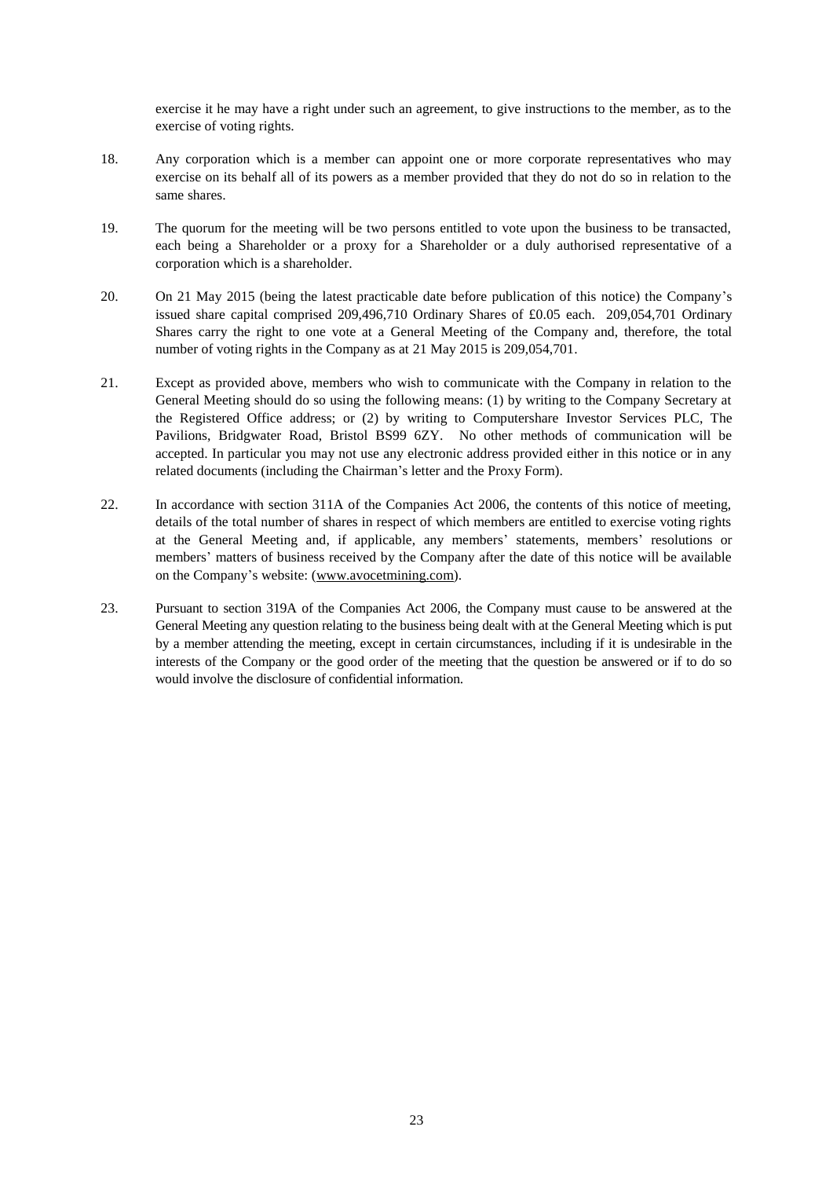exercise it he may have a right under such an agreement, to give instructions to the member, as to the exercise of voting rights.

- 18. Any corporation which is a member can appoint one or more corporate representatives who may exercise on its behalf all of its powers as a member provided that they do not do so in relation to the same shares.
- 19. The quorum for the meeting will be two persons entitled to vote upon the business to be transacted, each being a Shareholder or a proxy for a Shareholder or a duly authorised representative of a corporation which is a shareholder.
- 20. On 21 May 2015 (being the latest practicable date before publication of this notice) the Company's issued share capital comprised 209,496,710 Ordinary Shares of £0.05 each. 209,054,701 Ordinary Shares carry the right to one vote at a General Meeting of the Company and, therefore, the total number of voting rights in the Company as at 21 May 2015 is 209,054,701.
- 21. Except as provided above, members who wish to communicate with the Company in relation to the General Meeting should do so using the following means: (1) by writing to the Company Secretary at the Registered Office address; or (2) by writing to Computershare Investor Services PLC, The Pavilions, Bridgwater Road, Bristol BS99 6ZY. No other methods of communication will be accepted. In particular you may not use any electronic address provided either in this notice or in any related documents (including the Chairman's letter and the Proxy Form).
- 22. In accordance with section 311A of the Companies Act 2006, the contents of this notice of meeting, details of the total number of shares in respect of which members are entitled to exercise voting rights at the General Meeting and, if applicable, any members' statements, members' resolutions or members' matters of business received by the Company after the date of this notice will be available on the Company's website: (www.avocetmining.com).
- 23. Pursuant to section 319A of the Companies Act 2006, the Company must cause to be answered at the General Meeting any question relating to the business being dealt with at the General Meeting which is put by a member attending the meeting, except in certain circumstances, including if it is undesirable in the interests of the Company or the good order of the meeting that the question be answered or if to do so would involve the disclosure of confidential information.